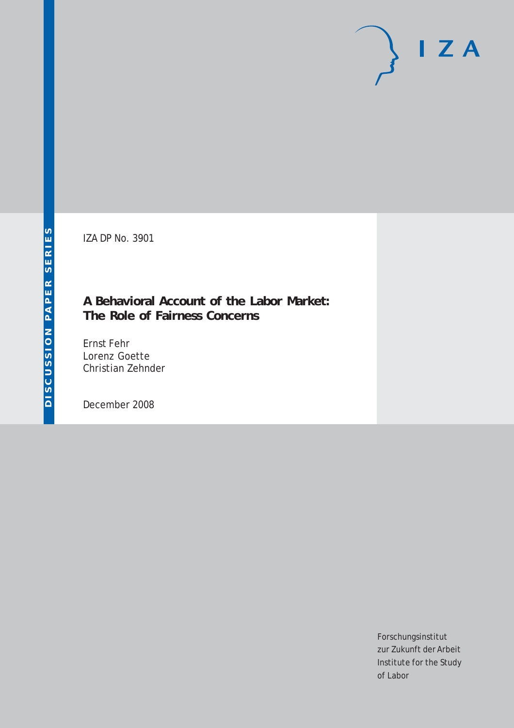IZA DP No. 3901

## **A Behavioral Account of the Labor Market: The Role of Fairness Concerns**

Ernst Fehr Lorenz Goette Christian Zehnder

December 2008

Forschungsinstitut zur Zukunft der Arbeit Institute for the Study of Labor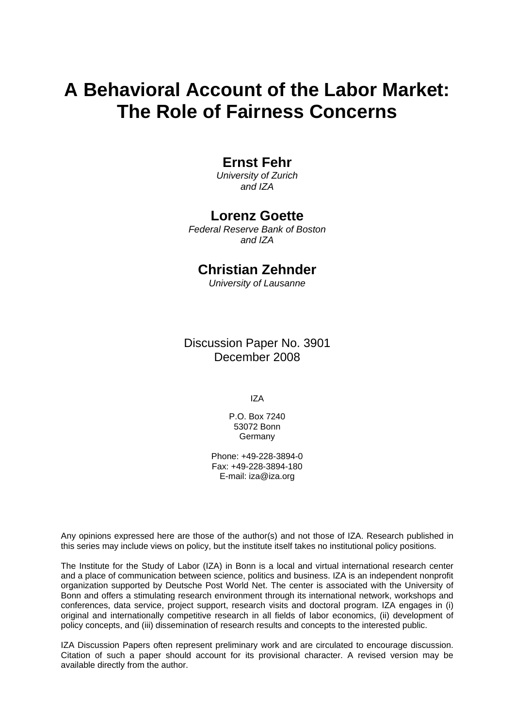# **A Behavioral Account of the Labor Market: The Role of Fairness Concerns**

### **Ernst Fehr**

*University of Zurich and IZA* 

### **Lorenz Goette**

*Federal Reserve Bank of Boston and IZA* 

## **Christian Zehnder**

*University of Lausanne* 

Discussion Paper No. 3901 December 2008

IZA

P.O. Box 7240 53072 Bonn Germany

Phone: +49-228-3894-0 Fax: +49-228-3894-180 E-mail: [iza@iza.org](mailto:iza@iza.org)

Any opinions expressed here are those of the author(s) and not those of IZA. Research published in this series may include views on policy, but the institute itself takes no institutional policy positions.

The Institute for the Study of Labor (IZA) in Bonn is a local and virtual international research center and a place of communication between science, politics and business. IZA is an independent nonprofit organization supported by Deutsche Post World Net. The center is associated with the University of Bonn and offers a stimulating research environment through its international network, workshops and conferences, data service, project support, research visits and doctoral program. IZA engages in (i) original and internationally competitive research in all fields of labor economics, (ii) development of policy concepts, and (iii) dissemination of research results and concepts to the interested public.

IZA Discussion Papers often represent preliminary work and are circulated to encourage discussion. Citation of such a paper should account for its provisional character. A revised version may be available directly from the author.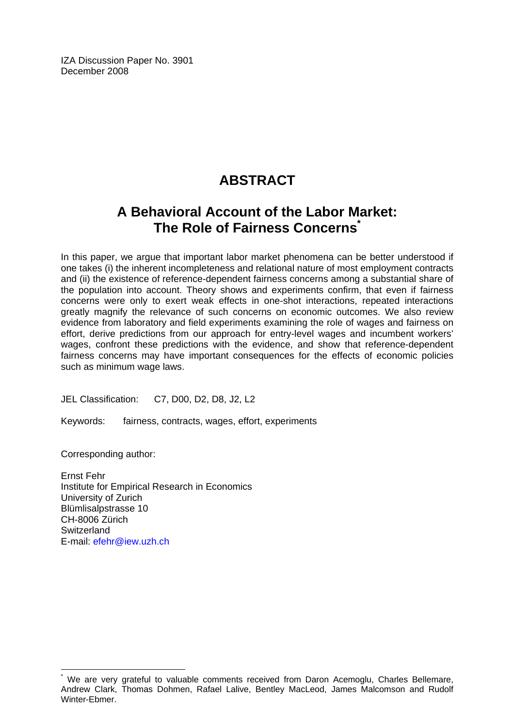IZA Discussion Paper No. 3901 December 2008

## **ABSTRACT**

## **A Behavioral Account of the Labor Market: The Role of Fairness Concern[s\\*](#page-2-0)**

In this paper, we argue that important labor market phenomena can be better understood if one takes (i) the inherent incompleteness and relational nature of most employment contracts and (ii) the existence of reference-dependent fairness concerns among a substantial share of the population into account. Theory shows and experiments confirm, that even if fairness concerns were only to exert weak effects in one-shot interactions, repeated interactions greatly magnify the relevance of such concerns on economic outcomes. We also review evidence from laboratory and field experiments examining the role of wages and fairness on effort, derive predictions from our approach for entry-level wages and incumbent workers' wages, confront these predictions with the evidence, and show that reference-dependent fairness concerns may have important consequences for the effects of economic policies such as minimum wage laws.

JEL Classification: C7, D00, D2, D8, J2, L2

Keywords: fairness, contracts, wages, effort, experiments

Corresponding author:

Ernst Fehr Institute for Empirical Research in Economics University of Zurich Blümlisalpstrasse 10 CH-8006 Zürich **Switzerland** E-mail: [efehr@iew.uzh.ch](mailto:efehr@iew.uzh.ch)

<span id="page-2-0"></span><sup>&</sup>lt;u>end the mondities of the mondities of the metal</u><br>The are very grateful to valuable comments received from Daron Acemoglu, Charles Bellemare, Andrew Clark, Thomas Dohmen, Rafael Lalive, Bentley MacLeod, James Malcomson and Rudolf Winter-Ebmer.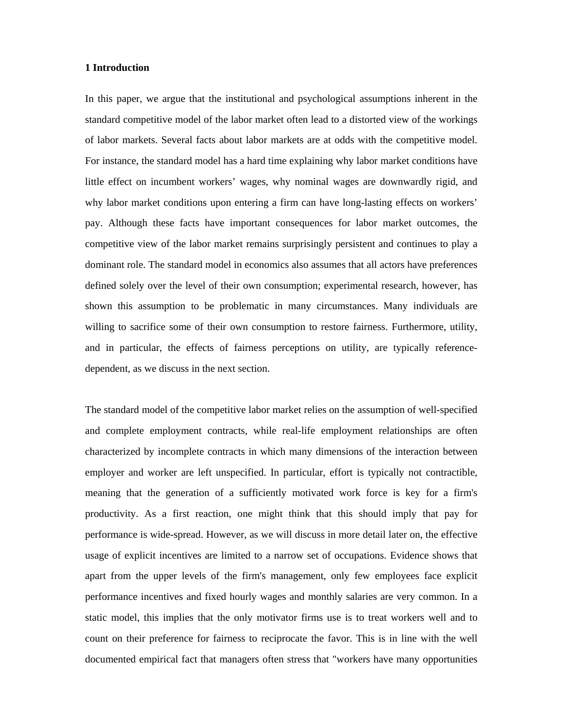#### **1 Introduction**

In this paper, we argue that the institutional and psychological assumptions inherent in the standard competitive model of the labor market often lead to a distorted view of the workings of labor markets. Several facts about labor markets are at odds with the competitive model. For instance, the standard model has a hard time explaining why labor market conditions have little effect on incumbent workers' wages, why nominal wages are downwardly rigid, and why labor market conditions upon entering a firm can have long-lasting effects on workers' pay. Although these facts have important consequences for labor market outcomes, the competitive view of the labor market remains surprisingly persistent and continues to play a dominant role. The standard model in economics also assumes that all actors have preferences defined solely over the level of their own consumption; experimental research, however, has shown this assumption to be problematic in many circumstances. Many individuals are willing to sacrifice some of their own consumption to restore fairness. Furthermore, utility, and in particular, the effects of fairness perceptions on utility, are typically referencedependent, as we discuss in the next section.

The standard model of the competitive labor market relies on the assumption of well-specified and complete employment contracts, while real-life employment relationships are often characterized by incomplete contracts in which many dimensions of the interaction between employer and worker are left unspecified. In particular, effort is typically not contractible, meaning that the generation of a sufficiently motivated work force is key for a firm's productivity. As a first reaction, one might think that this should imply that pay for performance is wide-spread. However, as we will discuss in more detail later on, the effective usage of explicit incentives are limited to a narrow set of occupations. Evidence shows that apart from the upper levels of the firm's management, only few employees face explicit performance incentives and fixed hourly wages and monthly salaries are very common. In a static model, this implies that the only motivator firms use is to treat workers well and to count on their preference for fairness to reciprocate the favor. This is in line with the well documented empirical fact that managers often stress that "workers have many opportunities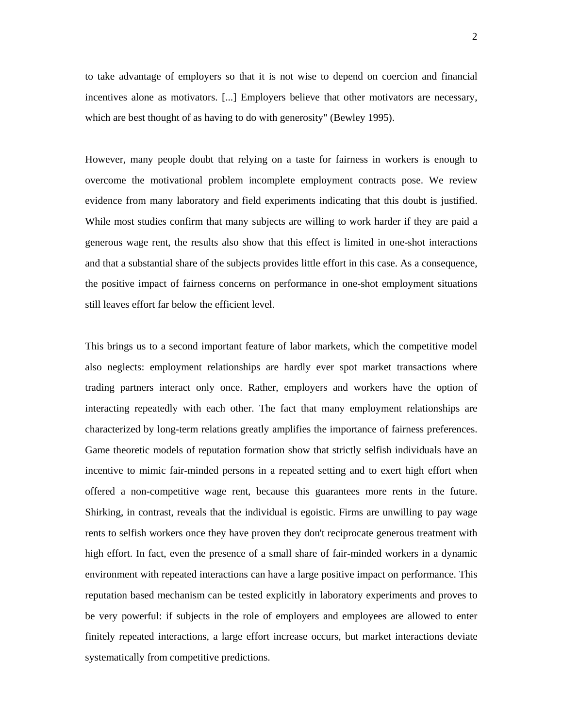to take advantage of employers so that it is not wise to depend on coercion and financial incentives alone as motivators. [...] Employers believe that other motivators are necessary, which are best thought of as having to do with generosity" (Bewley 1995).

However, many people doubt that relying on a taste for fairness in workers is enough to overcome the motivational problem incomplete employment contracts pose. We review evidence from many laboratory and field experiments indicating that this doubt is justified. While most studies confirm that many subjects are willing to work harder if they are paid a generous wage rent, the results also show that this effect is limited in one-shot interactions and that a substantial share of the subjects provides little effort in this case. As a consequence, the positive impact of fairness concerns on performance in one-shot employment situations still leaves effort far below the efficient level.

This brings us to a second important feature of labor markets, which the competitive model also neglects: employment relationships are hardly ever spot market transactions where trading partners interact only once. Rather, employers and workers have the option of interacting repeatedly with each other. The fact that many employment relationships are characterized by long-term relations greatly amplifies the importance of fairness preferences. Game theoretic models of reputation formation show that strictly selfish individuals have an incentive to mimic fair-minded persons in a repeated setting and to exert high effort when offered a non-competitive wage rent, because this guarantees more rents in the future. Shirking, in contrast, reveals that the individual is egoistic. Firms are unwilling to pay wage rents to selfish workers once they have proven they don't reciprocate generous treatment with high effort. In fact, even the presence of a small share of fair-minded workers in a dynamic environment with repeated interactions can have a large positive impact on performance. This reputation based mechanism can be tested explicitly in laboratory experiments and proves to be very powerful: if subjects in the role of employers and employees are allowed to enter finitely repeated interactions, a large effort increase occurs, but market interactions deviate systematically from competitive predictions.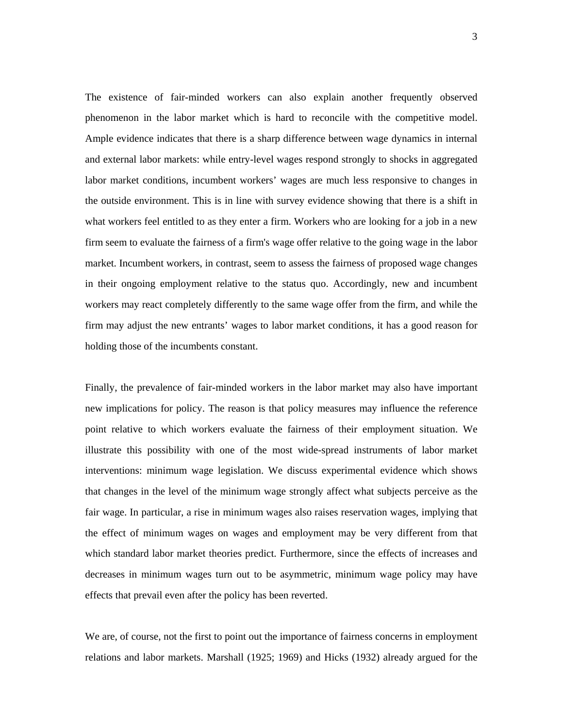The existence of fair-minded workers can also explain another frequently observed phenomenon in the labor market which is hard to reconcile with the competitive model. Ample evidence indicates that there is a sharp difference between wage dynamics in internal and external labor markets: while entry-level wages respond strongly to shocks in aggregated labor market conditions, incumbent workers' wages are much less responsive to changes in the outside environment. This is in line with survey evidence showing that there is a shift in what workers feel entitled to as they enter a firm. Workers who are looking for a job in a new firm seem to evaluate the fairness of a firm's wage offer relative to the going wage in the labor market. Incumbent workers, in contrast, seem to assess the fairness of proposed wage changes in their ongoing employment relative to the status quo. Accordingly, new and incumbent workers may react completely differently to the same wage offer from the firm, and while the firm may adjust the new entrants' wages to labor market conditions, it has a good reason for holding those of the incumbents constant.

Finally, the prevalence of fair-minded workers in the labor market may also have important new implications for policy. The reason is that policy measures may influence the reference point relative to which workers evaluate the fairness of their employment situation. We illustrate this possibility with one of the most wide-spread instruments of labor market interventions: minimum wage legislation. We discuss experimental evidence which shows that changes in the level of the minimum wage strongly affect what subjects perceive as the fair wage. In particular, a rise in minimum wages also raises reservation wages, implying that the effect of minimum wages on wages and employment may be very different from that which standard labor market theories predict. Furthermore, since the effects of increases and decreases in minimum wages turn out to be asymmetric, minimum wage policy may have effects that prevail even after the policy has been reverted.

We are, of course, not the first to point out the importance of fairness concerns in employment relations and labor markets. Marshall (1925; 1969) and Hicks (1932) already argued for the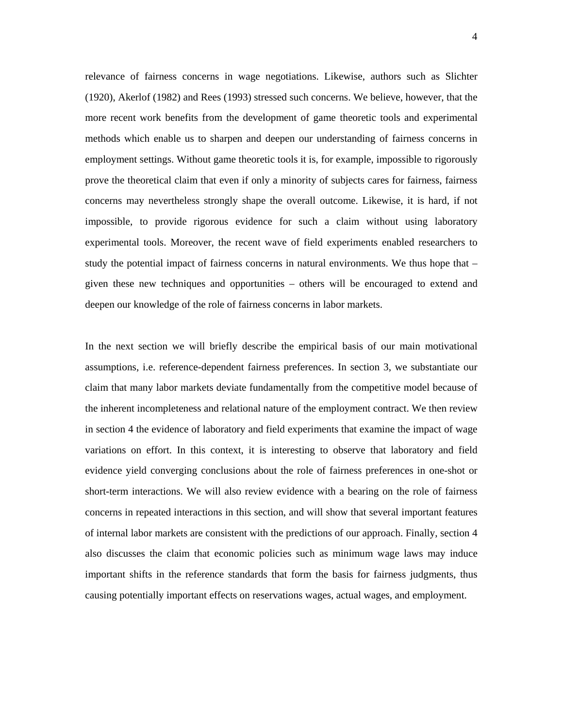relevance of fairness concerns in wage negotiations. Likewise, authors such as Slichter (1920), Akerlof (1982) and Rees (1993) stressed such concerns. We believe, however, that the more recent work benefits from the development of game theoretic tools and experimental methods which enable us to sharpen and deepen our understanding of fairness concerns in employment settings. Without game theoretic tools it is, for example, impossible to rigorously prove the theoretical claim that even if only a minority of subjects cares for fairness, fairness concerns may nevertheless strongly shape the overall outcome. Likewise, it is hard, if not impossible, to provide rigorous evidence for such a claim without using laboratory experimental tools. Moreover, the recent wave of field experiments enabled researchers to study the potential impact of fairness concerns in natural environments. We thus hope that – given these new techniques and opportunities – others will be encouraged to extend and deepen our knowledge of the role of fairness concerns in labor markets.

In the next section we will briefly describe the empirical basis of our main motivational assumptions, i.e. reference-dependent fairness preferences. In section 3, we substantiate our claim that many labor markets deviate fundamentally from the competitive model because of the inherent incompleteness and relational nature of the employment contract. We then review in section 4 the evidence of laboratory and field experiments that examine the impact of wage variations on effort. In this context, it is interesting to observe that laboratory and field evidence yield converging conclusions about the role of fairness preferences in one-shot or short-term interactions. We will also review evidence with a bearing on the role of fairness concerns in repeated interactions in this section, and will show that several important features of internal labor markets are consistent with the predictions of our approach. Finally, section 4 also discusses the claim that economic policies such as minimum wage laws may induce important shifts in the reference standards that form the basis for fairness judgments, thus causing potentially important effects on reservations wages, actual wages, and employment.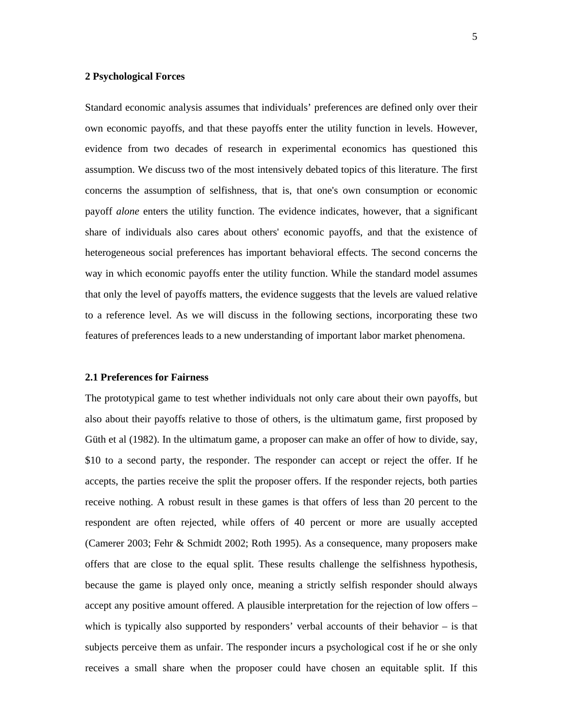#### **2 Psychological Forces**

Standard economic analysis assumes that individuals' preferences are defined only over their own economic payoffs, and that these payoffs enter the utility function in levels. However, evidence from two decades of research in experimental economics has questioned this assumption. We discuss two of the most intensively debated topics of this literature. The first concerns the assumption of selfishness, that is, that one's own consumption or economic payoff *alone* enters the utility function. The evidence indicates, however, that a significant share of individuals also cares about others' economic payoffs, and that the existence of heterogeneous social preferences has important behavioral effects. The second concerns the way in which economic payoffs enter the utility function. While the standard model assumes that only the level of payoffs matters, the evidence suggests that the levels are valued relative to a reference level. As we will discuss in the following sections, incorporating these two features of preferences leads to a new understanding of important labor market phenomena.

#### **2.1 Preferences for Fairness**

The prototypical game to test whether individuals not only care about their own payoffs, but also about their payoffs relative to those of others, is the ultimatum game, first proposed by Güth et al (1982). In the ultimatum game, a proposer can make an offer of how to divide, say, \$10 to a second party, the responder. The responder can accept or reject the offer. If he accepts, the parties receive the split the proposer offers. If the responder rejects, both parties receive nothing. A robust result in these games is that offers of less than 20 percent to the respondent are often rejected, while offers of 40 percent or more are usually accepted (Camerer 2003; Fehr & Schmidt 2002; Roth 1995). As a consequence, many proposers make offers that are close to the equal split. These results challenge the selfishness hypothesis, because the game is played only once, meaning a strictly selfish responder should always accept any positive amount offered. A plausible interpretation for the rejection of low offers – which is typically also supported by responders' verbal accounts of their behavior – is that subjects perceive them as unfair. The responder incurs a psychological cost if he or she only receives a small share when the proposer could have chosen an equitable split. If this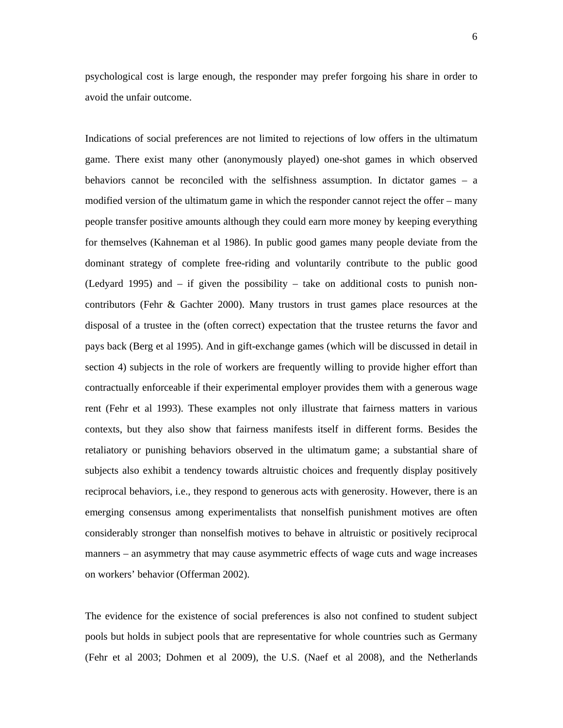psychological cost is large enough, the responder may prefer forgoing his share in order to avoid the unfair outcome.

Indications of social preferences are not limited to rejections of low offers in the ultimatum game. There exist many other (anonymously played) one-shot games in which observed behaviors cannot be reconciled with the selfishness assumption. In dictator games – a modified version of the ultimatum game in which the responder cannot reject the offer – many people transfer positive amounts although they could earn more money by keeping everything for themselves (Kahneman et al 1986). In public good games many people deviate from the dominant strategy of complete free-riding and voluntarily contribute to the public good (Ledyard 1995) and – if given the possibility – take on additional costs to punish noncontributors (Fehr & Gachter 2000). Many trustors in trust games place resources at the disposal of a trustee in the (often correct) expectation that the trustee returns the favor and pays back (Berg et al 1995). And in gift-exchange games (which will be discussed in detail in section 4) subjects in the role of workers are frequently willing to provide higher effort than contractually enforceable if their experimental employer provides them with a generous wage rent (Fehr et al 1993). These examples not only illustrate that fairness matters in various contexts, but they also show that fairness manifests itself in different forms. Besides the retaliatory or punishing behaviors observed in the ultimatum game; a substantial share of subjects also exhibit a tendency towards altruistic choices and frequently display positively reciprocal behaviors, i.e., they respond to generous acts with generosity. However, there is an emerging consensus among experimentalists that nonselfish punishment motives are often considerably stronger than nonselfish motives to behave in altruistic or positively reciprocal manners – an asymmetry that may cause asymmetric effects of wage cuts and wage increases on workers' behavior (Offerman 2002).

The evidence for the existence of social preferences is also not confined to student subject pools but holds in subject pools that are representative for whole countries such as Germany (Fehr et al 2003; Dohmen et al 2009), the U.S. (Naef et al 2008), and the Netherlands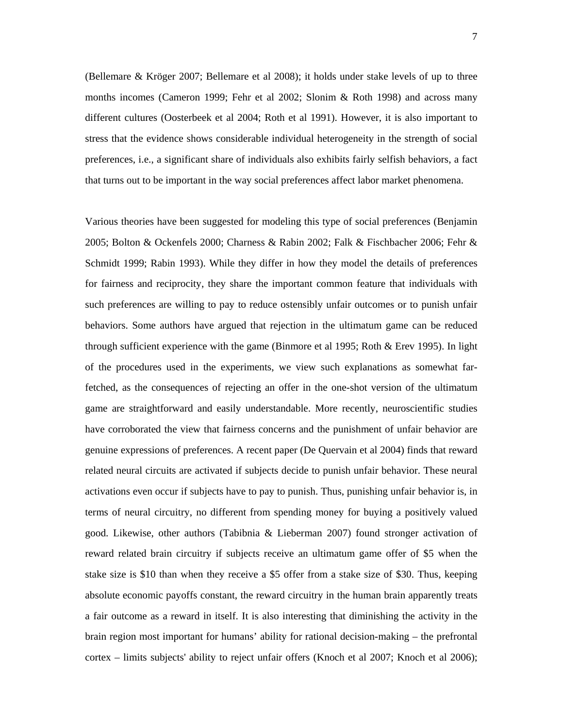(Bellemare & Kröger 2007; Bellemare et al 2008); it holds under stake levels of up to three months incomes (Cameron 1999; Fehr et al 2002; Slonim & Roth 1998) and across many different cultures (Oosterbeek et al 2004; Roth et al 1991). However, it is also important to stress that the evidence shows considerable individual heterogeneity in the strength of social preferences, i.e., a significant share of individuals also exhibits fairly selfish behaviors, a fact that turns out to be important in the way social preferences affect labor market phenomena.

Various theories have been suggested for modeling this type of social preferences (Benjamin 2005; Bolton & Ockenfels 2000; Charness & Rabin 2002; Falk & Fischbacher 2006; Fehr & Schmidt 1999; Rabin 1993). While they differ in how they model the details of preferences for fairness and reciprocity, they share the important common feature that individuals with such preferences are willing to pay to reduce ostensibly unfair outcomes or to punish unfair behaviors. Some authors have argued that rejection in the ultimatum game can be reduced through sufficient experience with the game (Binmore et al 1995; Roth & Erev 1995). In light of the procedures used in the experiments, we view such explanations as somewhat farfetched, as the consequences of rejecting an offer in the one-shot version of the ultimatum game are straightforward and easily understandable. More recently, neuroscientific studies have corroborated the view that fairness concerns and the punishment of unfair behavior are genuine expressions of preferences. A recent paper (De Quervain et al 2004) finds that reward related neural circuits are activated if subjects decide to punish unfair behavior. These neural activations even occur if subjects have to pay to punish. Thus, punishing unfair behavior is, in terms of neural circuitry, no different from spending money for buying a positively valued good. Likewise, other authors (Tabibnia & Lieberman 2007) found stronger activation of reward related brain circuitry if subjects receive an ultimatum game offer of \$5 when the stake size is \$10 than when they receive a \$5 offer from a stake size of \$30. Thus, keeping absolute economic payoffs constant, the reward circuitry in the human brain apparently treats a fair outcome as a reward in itself. It is also interesting that diminishing the activity in the brain region most important for humans' ability for rational decision-making – the prefrontal cortex – limits subjects' ability to reject unfair offers (Knoch et al 2007; Knoch et al 2006);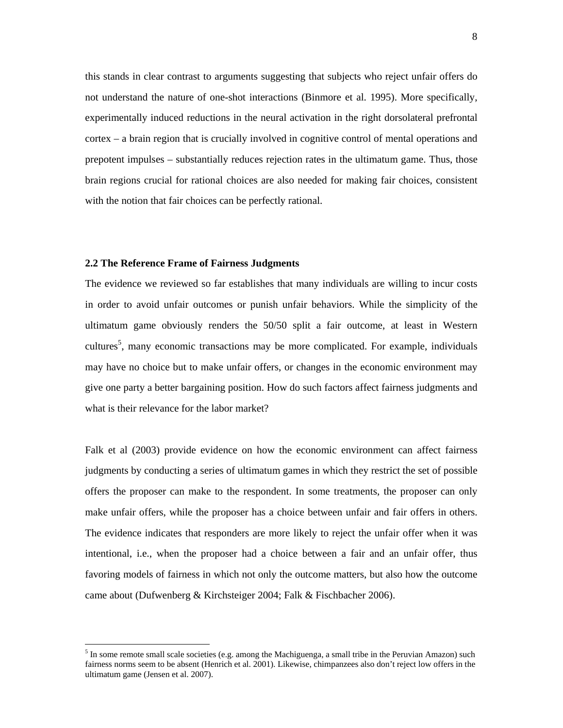this stands in clear contrast to arguments suggesting that subjects who reject unfair offers do not understand the nature of one-shot interactions (Binmore et al. 1995). More specifically, experimentally induced reductions in the neural activation in the right dorsolateral prefrontal cortex – a brain region that is crucially involved in cognitive control of mental operations and prepotent impulses – substantially reduces rejection rates in the ultimatum game. Thus, those brain regions crucial for rational choices are also needed for making fair choices, consistent with the notion that fair choices can be perfectly rational.

#### **2.2 The Reference Frame of Fairness Judgments**

 $\overline{a}$ 

The evidence we reviewed so far establishes that many individuals are willing to incur costs in order to avoid unfair outcomes or punish unfair behaviors. While the simplicity of the ultimatum game obviously renders the 50/50 split a fair outcome, at least in Western cultures<sup>5</sup>, many economic transactions may be more complicated. For example, individuals may have no choice but to make unfair offers, or changes in the economic environment may give one party a better bargaining position. How do such factors affect fairness judgments and what is their relevance for the labor market?

Falk et al (2003) provide evidence on how the economic environment can affect fairness judgments by conducting a series of ultimatum games in which they restrict the set of possible offers the proposer can make to the respondent. In some treatments, the proposer can only make unfair offers, while the proposer has a choice between unfair and fair offers in others. The evidence indicates that responders are more likely to reject the unfair offer when it was intentional, i.e., when the proposer had a choice between a fair and an unfair offer, thus favoring models of fairness in which not only the outcome matters, but also how the outcome came about (Dufwenberg & Kirchsteiger 2004; Falk & Fischbacher 2006).

 $<sup>5</sup>$  In some remote small scale societies (e.g. among the Machiguenga, a small tribe in the Peruvian Amazon) such</sup> fairness norms seem to be absent (Henrich et al. 2001). Likewise, chimpanzees also don't reject low offers in the ultimatum game (Jensen et al. 2007).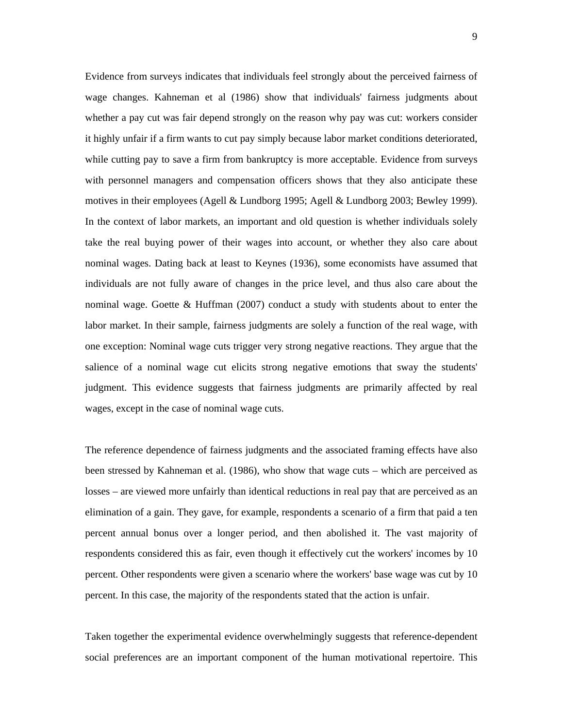Evidence from surveys indicates that individuals feel strongly about the perceived fairness of wage changes. Kahneman et al (1986) show that individuals' fairness judgments about whether a pay cut was fair depend strongly on the reason why pay was cut: workers consider it highly unfair if a firm wants to cut pay simply because labor market conditions deteriorated, while cutting pay to save a firm from bankruptcy is more acceptable. Evidence from surveys with personnel managers and compensation officers shows that they also anticipate these motives in their employees (Agell & Lundborg 1995; Agell & Lundborg 2003; Bewley 1999). In the context of labor markets, an important and old question is whether individuals solely take the real buying power of their wages into account, or whether they also care about nominal wages. Dating back at least to Keynes (1936), some economists have assumed that individuals are not fully aware of changes in the price level, and thus also care about the nominal wage. Goette & Huffman (2007) conduct a study with students about to enter the labor market. In their sample, fairness judgments are solely a function of the real wage, with one exception: Nominal wage cuts trigger very strong negative reactions. They argue that the salience of a nominal wage cut elicits strong negative emotions that sway the students' judgment. This evidence suggests that fairness judgments are primarily affected by real wages, except in the case of nominal wage cuts.

The reference dependence of fairness judgments and the associated framing effects have also been stressed by Kahneman et al. (1986), who show that wage cuts – which are perceived as losses – are viewed more unfairly than identical reductions in real pay that are perceived as an elimination of a gain. They gave, for example, respondents a scenario of a firm that paid a ten percent annual bonus over a longer period, and then abolished it. The vast majority of respondents considered this as fair, even though it effectively cut the workers' incomes by 10 percent. Other respondents were given a scenario where the workers' base wage was cut by 10 percent. In this case, the majority of the respondents stated that the action is unfair.

Taken together the experimental evidence overwhelmingly suggests that reference-dependent social preferences are an important component of the human motivational repertoire. This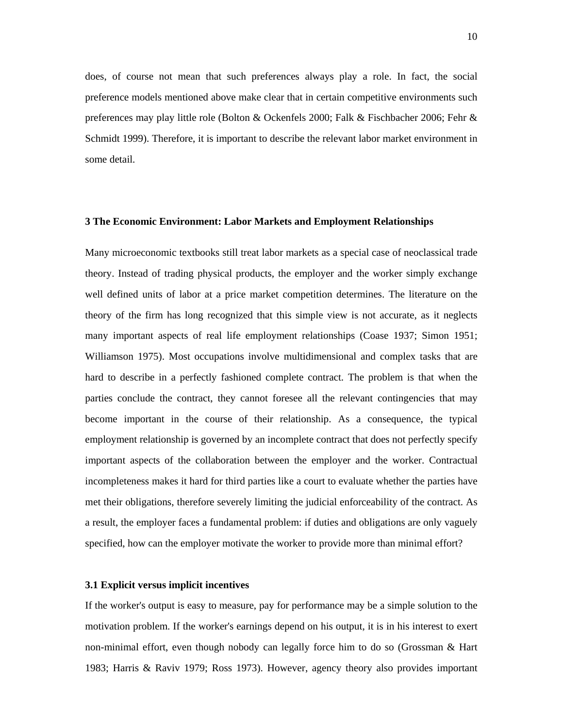does, of course not mean that such preferences always play a role. In fact, the social preference models mentioned above make clear that in certain competitive environments such preferences may play little role (Bolton & Ockenfels 2000; Falk & Fischbacher 2006; Fehr & Schmidt 1999). Therefore, it is important to describe the relevant labor market environment in some detail.

#### **3 The Economic Environment: Labor Markets and Employment Relationships**

Many microeconomic textbooks still treat labor markets as a special case of neoclassical trade theory. Instead of trading physical products, the employer and the worker simply exchange well defined units of labor at a price market competition determines. The literature on the theory of the firm has long recognized that this simple view is not accurate, as it neglects many important aspects of real life employment relationships (Coase 1937; Simon 1951; Williamson 1975). Most occupations involve multidimensional and complex tasks that are hard to describe in a perfectly fashioned complete contract. The problem is that when the parties conclude the contract, they cannot foresee all the relevant contingencies that may become important in the course of their relationship. As a consequence, the typical employment relationship is governed by an incomplete contract that does not perfectly specify important aspects of the collaboration between the employer and the worker. Contractual incompleteness makes it hard for third parties like a court to evaluate whether the parties have met their obligations, therefore severely limiting the judicial enforceability of the contract. As a result, the employer faces a fundamental problem: if duties and obligations are only vaguely specified, how can the employer motivate the worker to provide more than minimal effort?

#### **3.1 Explicit versus implicit incentives**

If the worker's output is easy to measure, pay for performance may be a simple solution to the motivation problem. If the worker's earnings depend on his output, it is in his interest to exert non-minimal effort, even though nobody can legally force him to do so (Grossman & Hart 1983; Harris & Raviv 1979; Ross 1973). However, agency theory also provides important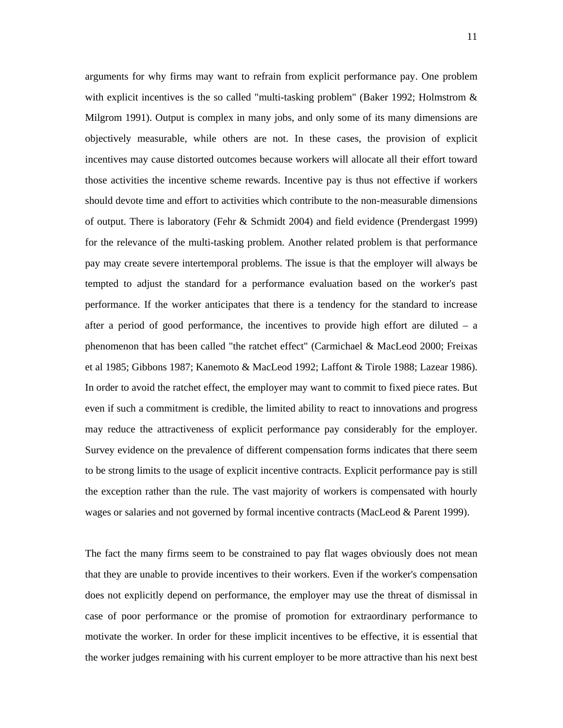arguments for why firms may want to refrain from explicit performance pay. One problem with explicit incentives is the so called "multi-tasking problem" (Baker 1992; Holmstrom & Milgrom 1991). Output is complex in many jobs, and only some of its many dimensions are objectively measurable, while others are not. In these cases, the provision of explicit incentives may cause distorted outcomes because workers will allocate all their effort toward those activities the incentive scheme rewards. Incentive pay is thus not effective if workers should devote time and effort to activities which contribute to the non-measurable dimensions of output. There is laboratory (Fehr & Schmidt 2004) and field evidence (Prendergast 1999) for the relevance of the multi-tasking problem. Another related problem is that performance pay may create severe intertemporal problems. The issue is that the employer will always be tempted to adjust the standard for a performance evaluation based on the worker's past performance. If the worker anticipates that there is a tendency for the standard to increase after a period of good performance, the incentives to provide high effort are diluted  $-$  a phenomenon that has been called "the ratchet effect" (Carmichael & MacLeod 2000; Freixas et al 1985; Gibbons 1987; Kanemoto & MacLeod 1992; Laffont & Tirole 1988; Lazear 1986). In order to avoid the ratchet effect, the employer may want to commit to fixed piece rates. But even if such a commitment is credible, the limited ability to react to innovations and progress may reduce the attractiveness of explicit performance pay considerably for the employer. Survey evidence on the prevalence of different compensation forms indicates that there seem to be strong limits to the usage of explicit incentive contracts. Explicit performance pay is still the exception rather than the rule. The vast majority of workers is compensated with hourly wages or salaries and not governed by formal incentive contracts (MacLeod & Parent 1999).

The fact the many firms seem to be constrained to pay flat wages obviously does not mean that they are unable to provide incentives to their workers. Even if the worker's compensation does not explicitly depend on performance, the employer may use the threat of dismissal in case of poor performance or the promise of promotion for extraordinary performance to motivate the worker. In order for these implicit incentives to be effective, it is essential that the worker judges remaining with his current employer to be more attractive than his next best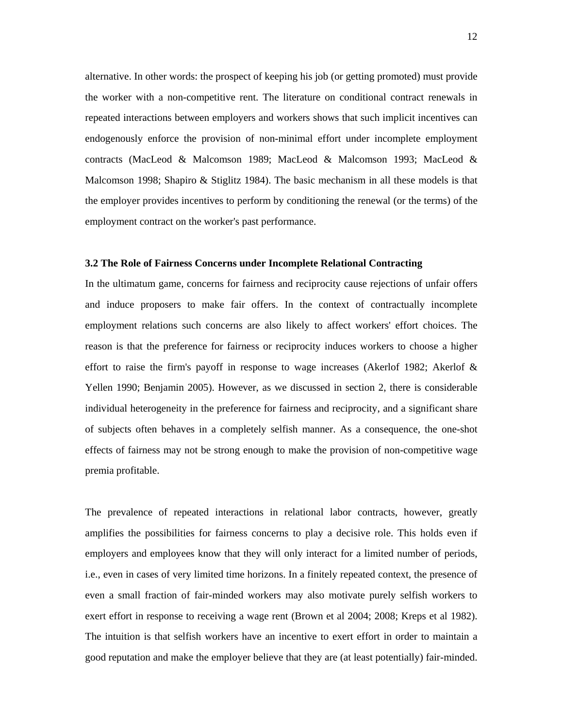alternative. In other words: the prospect of keeping his job (or getting promoted) must provide the worker with a non-competitive rent. The literature on conditional contract renewals in repeated interactions between employers and workers shows that such implicit incentives can endogenously enforce the provision of non-minimal effort under incomplete employment contracts (MacLeod & Malcomson 1989; MacLeod & Malcomson 1993; MacLeod & Malcomson 1998; Shapiro & Stiglitz 1984). The basic mechanism in all these models is that the employer provides incentives to perform by conditioning the renewal (or the terms) of the employment contract on the worker's past performance.

#### **3.2 The Role of Fairness Concerns under Incomplete Relational Contracting**

In the ultimatum game, concerns for fairness and reciprocity cause rejections of unfair offers and induce proposers to make fair offers. In the context of contractually incomplete employment relations such concerns are also likely to affect workers' effort choices. The reason is that the preference for fairness or reciprocity induces workers to choose a higher effort to raise the firm's payoff in response to wage increases (Akerlof 1982; Akerlof & Yellen 1990; Benjamin 2005). However, as we discussed in section 2, there is considerable individual heterogeneity in the preference for fairness and reciprocity, and a significant share of subjects often behaves in a completely selfish manner. As a consequence, the one-shot effects of fairness may not be strong enough to make the provision of non-competitive wage premia profitable.

The prevalence of repeated interactions in relational labor contracts, however, greatly amplifies the possibilities for fairness concerns to play a decisive role. This holds even if employers and employees know that they will only interact for a limited number of periods, i.e., even in cases of very limited time horizons. In a finitely repeated context, the presence of even a small fraction of fair-minded workers may also motivate purely selfish workers to exert effort in response to receiving a wage rent (Brown et al 2004; 2008; Kreps et al 1982). The intuition is that selfish workers have an incentive to exert effort in order to maintain a good reputation and make the employer believe that they are (at least potentially) fair-minded.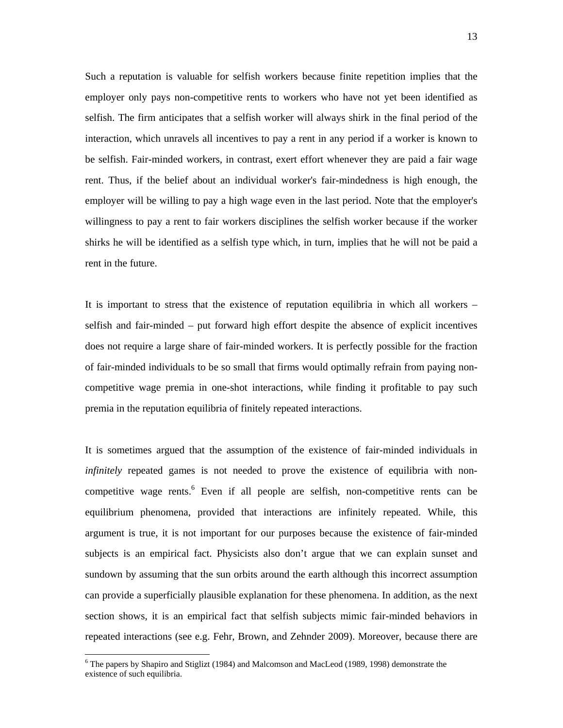Such a reputation is valuable for selfish workers because finite repetition implies that the employer only pays non-competitive rents to workers who have not yet been identified as selfish. The firm anticipates that a selfish worker will always shirk in the final period of the interaction, which unravels all incentives to pay a rent in any period if a worker is known to be selfish. Fair-minded workers, in contrast, exert effort whenever they are paid a fair wage rent. Thus, if the belief about an individual worker's fair-mindedness is high enough, the employer will be willing to pay a high wage even in the last period. Note that the employer's willingness to pay a rent to fair workers disciplines the selfish worker because if the worker shirks he will be identified as a selfish type which, in turn, implies that he will not be paid a rent in the future.

It is important to stress that the existence of reputation equilibria in which all workers – selfish and fair-minded – put forward high effort despite the absence of explicit incentives does not require a large share of fair-minded workers. It is perfectly possible for the fraction of fair-minded individuals to be so small that firms would optimally refrain from paying noncompetitive wage premia in one-shot interactions, while finding it profitable to pay such premia in the reputation equilibria of finitely repeated interactions.

It is sometimes argued that the assumption of the existence of fair-minded individuals in *infinitely* repeated games is not needed to prove the existence of equilibria with noncompetitive wage rents.<sup>6</sup> Even if all people are selfish, non-competitive rents can be equilibrium phenomena, provided that interactions are infinitely repeated. While, this argument is true, it is not important for our purposes because the existence of fair-minded subjects is an empirical fact. Physicists also don't argue that we can explain sunset and sundown by assuming that the sun orbits around the earth although this incorrect assumption can provide a superficially plausible explanation for these phenomena. In addition, as the next section shows, it is an empirical fact that selfish subjects mimic fair-minded behaviors in repeated interactions (see e.g. Fehr, Brown, and Zehnder 2009). Moreover, because there are

<sup>&</sup>lt;sup>6</sup> The papers by Shapiro and Stiglizt (1984) and Malcomson and MacLeod (1989, 1998) demonstrate the existence of such equilibria.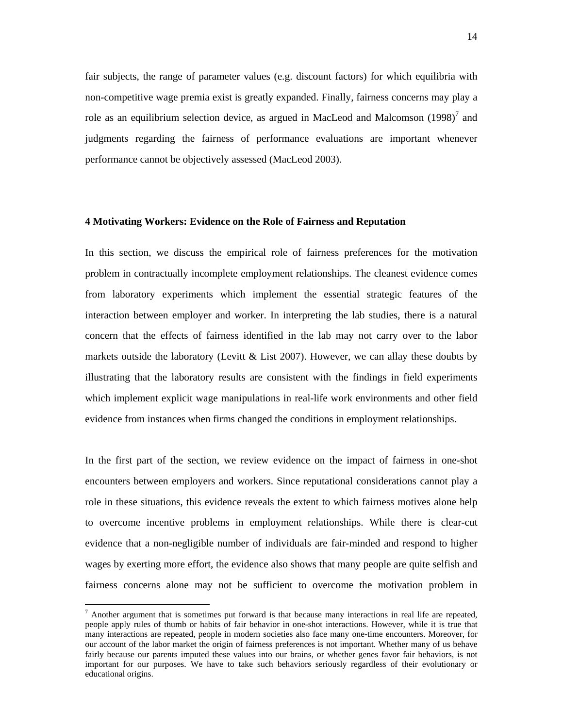fair subjects, the range of parameter values (e.g. discount factors) for which equilibria with non-competitive wage premia exist is greatly expanded. Finally, fairness concerns may play a role as an equilibrium selection device, as argued in MacLeod and Malcomson  $(1998)^7$  and judgments regarding the fairness of performance evaluations are important whenever performance cannot be objectively assessed (MacLeod 2003).

#### **4 Motivating Workers: Evidence on the Role of Fairness and Reputation**

In this section, we discuss the empirical role of fairness preferences for the motivation problem in contractually incomplete employment relationships. The cleanest evidence comes from laboratory experiments which implement the essential strategic features of the interaction between employer and worker. In interpreting the lab studies, there is a natural concern that the effects of fairness identified in the lab may not carry over to the labor markets outside the laboratory (Levitt & List 2007). However, we can allay these doubts by illustrating that the laboratory results are consistent with the findings in field experiments which implement explicit wage manipulations in real-life work environments and other field evidence from instances when firms changed the conditions in employment relationships.

In the first part of the section, we review evidence on the impact of fairness in one-shot encounters between employers and workers. Since reputational considerations cannot play a role in these situations, this evidence reveals the extent to which fairness motives alone help to overcome incentive problems in employment relationships. While there is clear-cut evidence that a non-negligible number of individuals are fair-minded and respond to higher wages by exerting more effort, the evidence also shows that many people are quite selfish and fairness concerns alone may not be sufficient to overcome the motivation problem in

 $<sup>7</sup>$  Another argument that is sometimes put forward is that because many interactions in real life are repeated,</sup> people apply rules of thumb or habits of fair behavior in one-shot interactions. However, while it is true that many interactions are repeated, people in modern societies also face many one-time encounters. Moreover, for our account of the labor market the origin of fairness preferences is not important. Whether many of us behave fairly because our parents imputed these values into our brains, or whether genes favor fair behaviors, is not important for our purposes. We have to take such behaviors seriously regardless of their evolutionary or educational origins.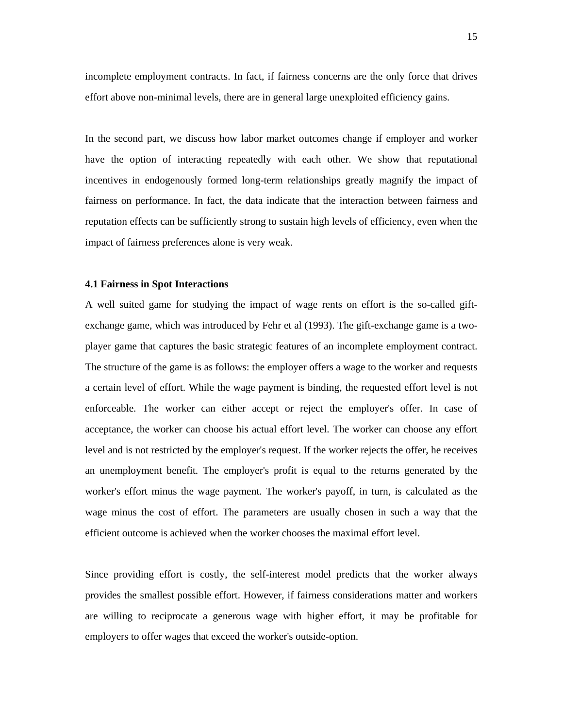incomplete employment contracts. In fact, if fairness concerns are the only force that drives effort above non-minimal levels, there are in general large unexploited efficiency gains.

In the second part, we discuss how labor market outcomes change if employer and worker have the option of interacting repeatedly with each other. We show that reputational incentives in endogenously formed long-term relationships greatly magnify the impact of fairness on performance. In fact, the data indicate that the interaction between fairness and reputation effects can be sufficiently strong to sustain high levels of efficiency, even when the impact of fairness preferences alone is very weak.

#### **4.1 Fairness in Spot Interactions**

A well suited game for studying the impact of wage rents on effort is the so-called giftexchange game, which was introduced by Fehr et al (1993). The gift-exchange game is a twoplayer game that captures the basic strategic features of an incomplete employment contract. The structure of the game is as follows: the employer offers a wage to the worker and requests a certain level of effort. While the wage payment is binding, the requested effort level is not enforceable. The worker can either accept or reject the employer's offer. In case of acceptance, the worker can choose his actual effort level. The worker can choose any effort level and is not restricted by the employer's request. If the worker rejects the offer, he receives an unemployment benefit. The employer's profit is equal to the returns generated by the worker's effort minus the wage payment. The worker's payoff, in turn, is calculated as the wage minus the cost of effort. The parameters are usually chosen in such a way that the efficient outcome is achieved when the worker chooses the maximal effort level.

Since providing effort is costly, the self-interest model predicts that the worker always provides the smallest possible effort. However, if fairness considerations matter and workers are willing to reciprocate a generous wage with higher effort, it may be profitable for employers to offer wages that exceed the worker's outside-option.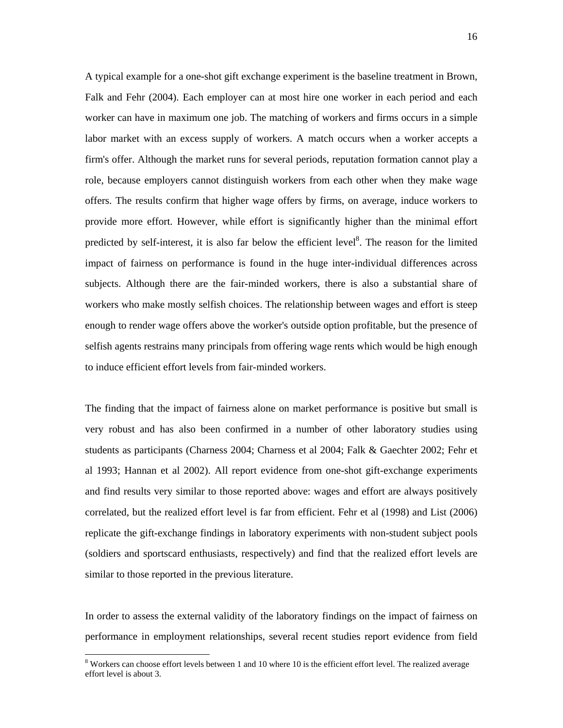A typical example for a one-shot gift exchange experiment is the baseline treatment in Brown, Falk and Fehr (2004). Each employer can at most hire one worker in each period and each worker can have in maximum one job. The matching of workers and firms occurs in a simple labor market with an excess supply of workers. A match occurs when a worker accepts a firm's offer. Although the market runs for several periods, reputation formation cannot play a role, because employers cannot distinguish workers from each other when they make wage offers. The results confirm that higher wage offers by firms, on average, induce workers to provide more effort. However, while effort is significantly higher than the minimal effort predicted by self-interest, it is also far below the efficient level<sup>8</sup>. The reason for the limited impact of fairness on performance is found in the huge inter-individual differences across subjects. Although there are the fair-minded workers, there is also a substantial share of workers who make mostly selfish choices. The relationship between wages and effort is steep enough to render wage offers above the worker's outside option profitable, but the presence of selfish agents restrains many principals from offering wage rents which would be high enough to induce efficient effort levels from fair-minded workers.

The finding that the impact of fairness alone on market performance is positive but small is very robust and has also been confirmed in a number of other laboratory studies using students as participants (Charness 2004; Charness et al 2004; Falk & Gaechter 2002; Fehr et al 1993; Hannan et al 2002). All report evidence from one-shot gift-exchange experiments and find results very similar to those reported above: wages and effort are always positively correlated, but the realized effort level is far from efficient. Fehr et al (1998) and List (2006) replicate the gift-exchange findings in laboratory experiments with non-student subject pools (soldiers and sportscard enthusiasts, respectively) and find that the realized effort levels are similar to those reported in the previous literature.

In order to assess the external validity of the laboratory findings on the impact of fairness on performance in employment relationships, several recent studies report evidence from field

 $8$  Workers can choose effort levels between 1 and 10 where 10 is the efficient effort level. The realized average effort level is about 3.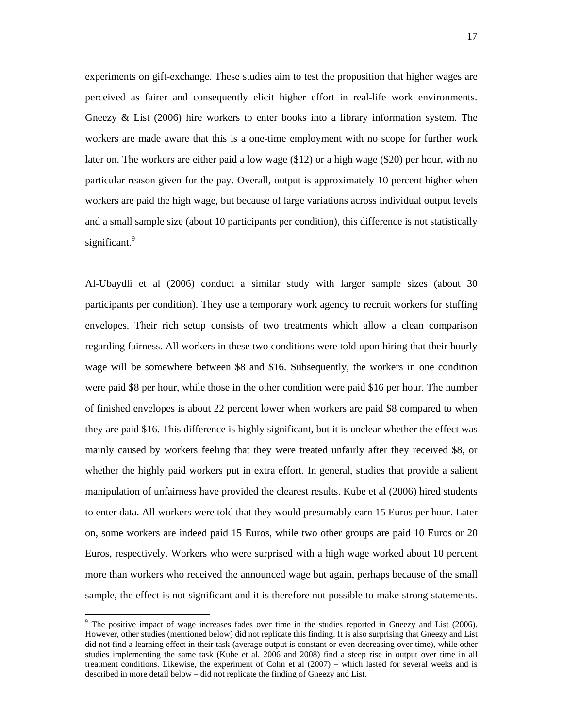experiments on gift-exchange. These studies aim to test the proposition that higher wages are perceived as fairer and consequently elicit higher effort in real-life work environments. Gneezy & List (2006) hire workers to enter books into a library information system. The workers are made aware that this is a one-time employment with no scope for further work later on. The workers are either paid a low wage (\$12) or a high wage (\$20) per hour, with no particular reason given for the pay. Overall, output is approximately 10 percent higher when workers are paid the high wage, but because of large variations across individual output levels and a small sample size (about 10 participants per condition), this difference is not statistically significant.<sup>9</sup>

Al-Ubaydli et al (2006) conduct a similar study with larger sample sizes (about 30 participants per condition). They use a temporary work agency to recruit workers for stuffing envelopes. Their rich setup consists of two treatments which allow a clean comparison regarding fairness. All workers in these two conditions were told upon hiring that their hourly wage will be somewhere between \$8 and \$16. Subsequently, the workers in one condition were paid \$8 per hour, while those in the other condition were paid \$16 per hour. The number of finished envelopes is about 22 percent lower when workers are paid \$8 compared to when they are paid \$16. This difference is highly significant, but it is unclear whether the effect was mainly caused by workers feeling that they were treated unfairly after they received \$8, or whether the highly paid workers put in extra effort. In general, studies that provide a salient manipulation of unfairness have provided the clearest results. Kube et al (2006) hired students to enter data. All workers were told that they would presumably earn 15 Euros per hour. Later on, some workers are indeed paid 15 Euros, while two other groups are paid 10 Euros or 20 Euros, respectively. Workers who were surprised with a high wage worked about 10 percent more than workers who received the announced wage but again, perhaps because of the small sample, the effect is not significant and it is therefore not possible to make strong statements.

 $9$  The positive impact of wage increases fades over time in the studies reported in Gneezy and List (2006). However, other studies (mentioned below) did not replicate this finding. It is also surprising that Gneezy and List did not find a learning effect in their task (average output is constant or even decreasing over time), while other studies implementing the same task (Kube et al. 2006 and 2008) find a steep rise in output over time in all treatment conditions. Likewise, the experiment of Cohn et al (2007) – which lasted for several weeks and is described in more detail below – did not replicate the finding of Gneezy and List.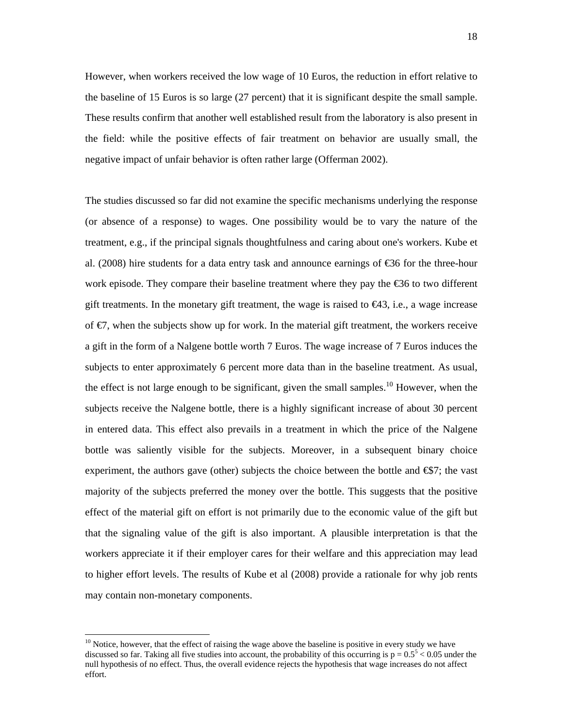However, when workers received the low wage of 10 Euros, the reduction in effort relative to the baseline of 15 Euros is so large (27 percent) that it is significant despite the small sample. These results confirm that another well established result from the laboratory is also present in the field: while the positive effects of fair treatment on behavior are usually small, the negative impact of unfair behavior is often rather large (Offerman 2002).

The studies discussed so far did not examine the specific mechanisms underlying the response (or absence of a response) to wages. One possibility would be to vary the nature of the treatment, e.g., if the principal signals thoughtfulness and caring about one's workers. Kube et al. (2008) hire students for a data entry task and announce earnings of €36 for the three-hour work episode. They compare their baseline treatment where they pay the €36 to two different gift treatments. In the monetary gift treatment, the wage is raised to  $\bigoplus$ 3, i.e., a wage increase of  $\epsilon$ , when the subjects show up for work. In the material gift treatment, the workers receive a gift in the form of a Nalgene bottle worth 7 Euros. The wage increase of 7 Euros induces the subjects to enter approximately 6 percent more data than in the baseline treatment. As usual, the effect is not large enough to be significant, given the small samples.<sup>10</sup> However, when the subjects receive the Nalgene bottle, there is a highly significant increase of about 30 percent in entered data. This effect also prevails in a treatment in which the price of the Nalgene bottle was saliently visible for the subjects. Moreover, in a subsequent binary choice experiment, the authors gave (other) subjects the choice between the bottle and  $\mathfrak{S}7$ ; the vast majority of the subjects preferred the money over the bottle. This suggests that the positive effect of the material gift on effort is not primarily due to the economic value of the gift but that the signaling value of the gift is also important. A plausible interpretation is that the workers appreciate it if their employer cares for their welfare and this appreciation may lead to higher effort levels. The results of Kube et al (2008) provide a rationale for why job rents may contain non-monetary components.

 $10$  Notice, however, that the effect of raising the wage above the baseline is positive in every study we have discussed so far. Taking all five studies into account, the probability of this occurring is  $p = 0.5^5 < 0.05$  under the null hypothesis of no effect. Thus, the overall evidence rejects the hypothesis that wage increases do not affect effort.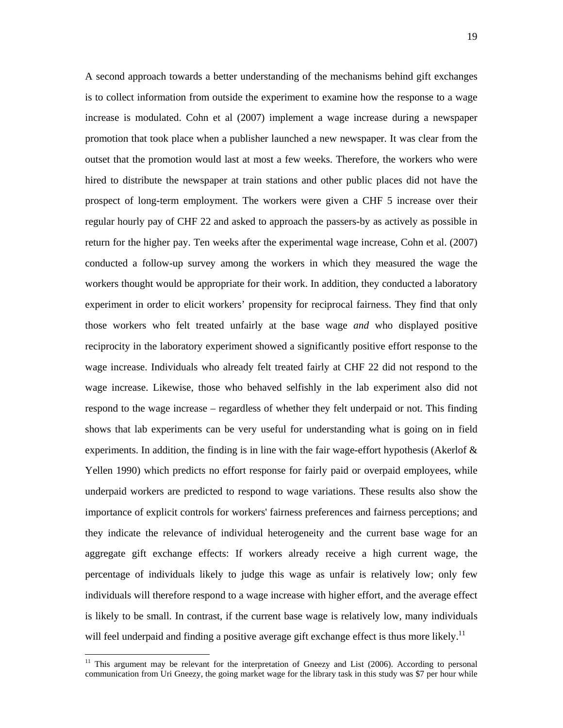A second approach towards a better understanding of the mechanisms behind gift exchanges is to collect information from outside the experiment to examine how the response to a wage increase is modulated. Cohn et al (2007) implement a wage increase during a newspaper promotion that took place when a publisher launched a new newspaper. It was clear from the outset that the promotion would last at most a few weeks. Therefore, the workers who were hired to distribute the newspaper at train stations and other public places did not have the prospect of long-term employment. The workers were given a CHF 5 increase over their regular hourly pay of CHF 22 and asked to approach the passers-by as actively as possible in return for the higher pay. Ten weeks after the experimental wage increase, Cohn et al. (2007) conducted a follow-up survey among the workers in which they measured the wage the workers thought would be appropriate for their work. In addition, they conducted a laboratory experiment in order to elicit workers' propensity for reciprocal fairness. They find that only those workers who felt treated unfairly at the base wage *and* who displayed positive reciprocity in the laboratory experiment showed a significantly positive effort response to the wage increase. Individuals who already felt treated fairly at CHF 22 did not respond to the wage increase. Likewise, those who behaved selfishly in the lab experiment also did not respond to the wage increase – regardless of whether they felt underpaid or not. This finding shows that lab experiments can be very useful for understanding what is going on in field experiments. In addition, the finding is in line with the fair wage-effort hypothesis (Akerlof & Yellen 1990) which predicts no effort response for fairly paid or overpaid employees, while underpaid workers are predicted to respond to wage variations. These results also show the importance of explicit controls for workers' fairness preferences and fairness perceptions; and they indicate the relevance of individual heterogeneity and the current base wage for an aggregate gift exchange effects: If workers already receive a high current wage, the percentage of individuals likely to judge this wage as unfair is relatively low; only few individuals will therefore respond to a wage increase with higher effort, and the average effect is likely to be small. In contrast, if the current base wage is relatively low, many individuals will feel underpaid and finding a positive average gift exchange effect is thus more likely.<sup>11</sup>

<sup>&</sup>lt;sup>11</sup> This argument may be relevant for the interpretation of Gneezy and List (2006). According to personal communication from Uri Gneezy, the going market wage for the library task in this study was \$7 per hour while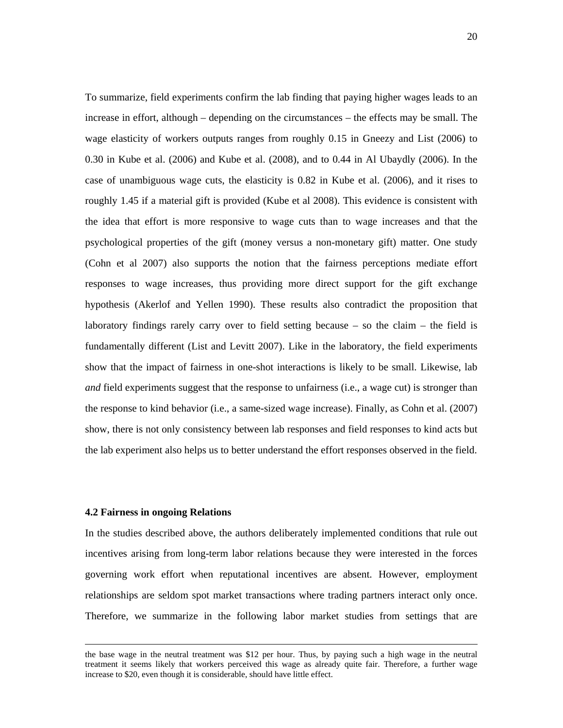To summarize, field experiments confirm the lab finding that paying higher wages leads to an increase in effort, although – depending on the circumstances – the effects may be small. The wage elasticity of workers outputs ranges from roughly 0.15 in Gneezy and List (2006) to 0.30 in Kube et al. (2006) and Kube et al. (2008), and to 0.44 in Al Ubaydly (2006). In the case of unambiguous wage cuts, the elasticity is 0.82 in Kube et al. (2006), and it rises to roughly 1.45 if a material gift is provided (Kube et al 2008). This evidence is consistent with the idea that effort is more responsive to wage cuts than to wage increases and that the psychological properties of the gift (money versus a non-monetary gift) matter. One study (Cohn et al 2007) also supports the notion that the fairness perceptions mediate effort responses to wage increases, thus providing more direct support for the gift exchange hypothesis (Akerlof and Yellen 1990). These results also contradict the proposition that laboratory findings rarely carry over to field setting because – so the claim – the field is fundamentally different (List and Levitt 2007). Like in the laboratory, the field experiments show that the impact of fairness in one-shot interactions is likely to be small. Likewise, lab *and* field experiments suggest that the response to unfairness (i.e., a wage cut) is stronger than the response to kind behavior (i.e., a same-sized wage increase). Finally, as Cohn et al. (2007) show, there is not only consistency between lab responses and field responses to kind acts but the lab experiment also helps us to better understand the effort responses observed in the field.

#### **4.2 Fairness in ongoing Relations**

In the studies described above, the authors deliberately implemented conditions that rule out incentives arising from long-term labor relations because they were interested in the forces governing work effort when reputational incentives are absent. However, employment relationships are seldom spot market transactions where trading partners interact only once. Therefore, we summarize in the following labor market studies from settings that are

the base wage in the neutral treatment was \$12 per hour. Thus, by paying such a high wage in the neutral treatment it seems likely that workers perceived this wage as already quite fair. Therefore, a further wage increase to \$20, even though it is considerable, should have little effect.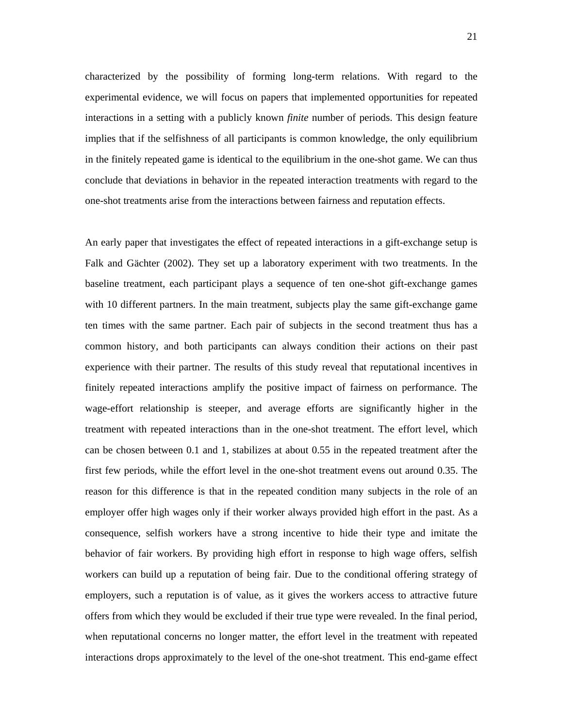characterized by the possibility of forming long-term relations. With regard to the experimental evidence, we will focus on papers that implemented opportunities for repeated interactions in a setting with a publicly known *finite* number of periods. This design feature implies that if the selfishness of all participants is common knowledge, the only equilibrium in the finitely repeated game is identical to the equilibrium in the one-shot game. We can thus conclude that deviations in behavior in the repeated interaction treatments with regard to the one-shot treatments arise from the interactions between fairness and reputation effects.

An early paper that investigates the effect of repeated interactions in a gift-exchange setup is Falk and Gächter (2002). They set up a laboratory experiment with two treatments. In the baseline treatment, each participant plays a sequence of ten one-shot gift-exchange games with 10 different partners. In the main treatment, subjects play the same gift-exchange game ten times with the same partner. Each pair of subjects in the second treatment thus has a common history, and both participants can always condition their actions on their past experience with their partner. The results of this study reveal that reputational incentives in finitely repeated interactions amplify the positive impact of fairness on performance. The wage-effort relationship is steeper, and average efforts are significantly higher in the treatment with repeated interactions than in the one-shot treatment. The effort level, which can be chosen between 0.1 and 1, stabilizes at about 0.55 in the repeated treatment after the first few periods, while the effort level in the one-shot treatment evens out around 0.35. The reason for this difference is that in the repeated condition many subjects in the role of an employer offer high wages only if their worker always provided high effort in the past. As a consequence, selfish workers have a strong incentive to hide their type and imitate the behavior of fair workers. By providing high effort in response to high wage offers, selfish workers can build up a reputation of being fair. Due to the conditional offering strategy of employers, such a reputation is of value, as it gives the workers access to attractive future offers from which they would be excluded if their true type were revealed. In the final period, when reputational concerns no longer matter, the effort level in the treatment with repeated interactions drops approximately to the level of the one-shot treatment. This end-game effect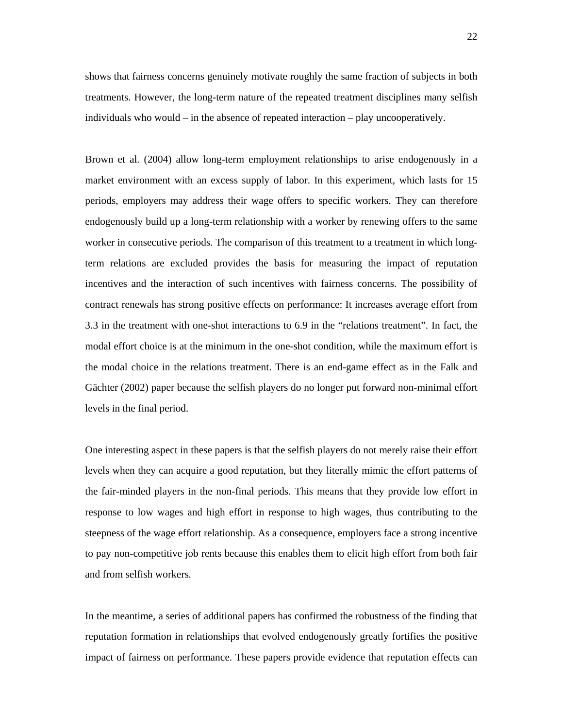shows that fairness concerns genuinely motivate roughly the same fraction of subjects in both treatments. However, the long-term nature of the repeated treatment disciplines many selfish individuals who would – in the absence of repeated interaction – play uncooperatively.

Brown et al. (2004) allow long-term employment relationships to arise endogenously in a market environment with an excess supply of labor. In this experiment, which lasts for 15 periods, employers may address their wage offers to specific workers. They can therefore endogenously build up a long-term relationship with a worker by renewing offers to the same worker in consecutive periods. The comparison of this treatment to a treatment in which longterm relations are excluded provides the basis for measuring the impact of reputation incentives and the interaction of such incentives with fairness concerns. The possibility of contract renewals has strong positive effects on performance: It increases average effort from 3.3 in the treatment with one-shot interactions to 6.9 in the "relations treatment". In fact, the modal effort choice is at the minimum in the one-shot condition, while the maximum effort is the modal choice in the relations treatment. There is an end-game effect as in the Falk and Gächter (2002) paper because the selfish players do no longer put forward non-minimal effort levels in the final period.

One interesting aspect in these papers is that the selfish players do not merely raise their effort levels when they can acquire a good reputation, but they literally mimic the effort patterns of the fair-minded players in the non-final periods. This means that they provide low effort in response to low wages and high effort in response to high wages, thus contributing to the steepness of the wage effort relationship. As a consequence, employers face a strong incentive to pay non-competitive job rents because this enables them to elicit high effort from both fair and from selfish workers.

In the meantime, a series of additional papers has confirmed the robustness of the finding that reputation formation in relationships that evolved endogenously greatly fortifies the positive impact of fairness on performance. These papers provide evidence that reputation effects can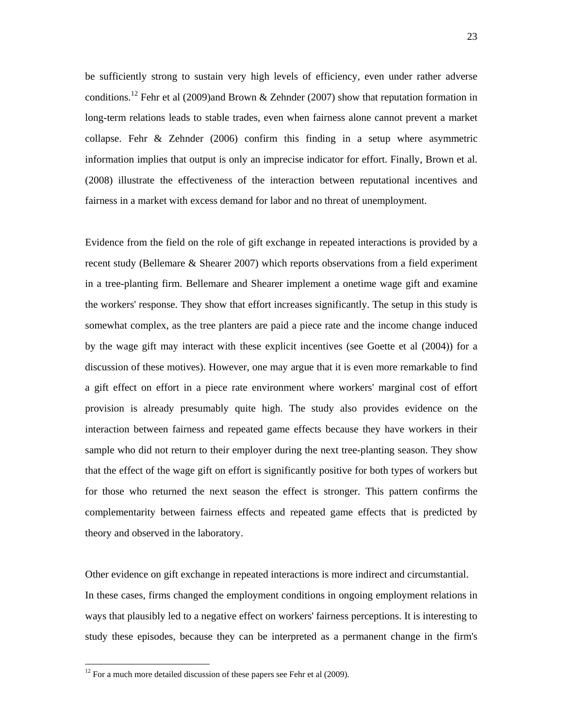be sufficiently strong to sustain very high levels of efficiency, even under rather adverse conditions.<sup>12</sup> Fehr et al (2009)and Brown & Zehnder (2007) show that reputation formation in long-term relations leads to stable trades, even when fairness alone cannot prevent a market collapse. Fehr & Zehnder (2006) confirm this finding in a setup where asymmetric information implies that output is only an imprecise indicator for effort. Finally, Brown et al. (2008) illustrate the effectiveness of the interaction between reputational incentives and fairness in a market with excess demand for labor and no threat of unemployment.

Evidence from the field on the role of gift exchange in repeated interactions is provided by a recent study (Bellemare & Shearer 2007) which reports observations from a field experiment in a tree-planting firm. Bellemare and Shearer implement a onetime wage gift and examine the workers' response. They show that effort increases significantly. The setup in this study is somewhat complex, as the tree planters are paid a piece rate and the income change induced by the wage gift may interact with these explicit incentives (see Goette et al (2004)) for a discussion of these motives). However, one may argue that it is even more remarkable to find a gift effect on effort in a piece rate environment where workers' marginal cost of effort provision is already presumably quite high. The study also provides evidence on the interaction between fairness and repeated game effects because they have workers in their sample who did not return to their employer during the next tree-planting season. They show that the effect of the wage gift on effort is significantly positive for both types of workers but for those who returned the next season the effect is stronger. This pattern confirms the complementarity between fairness effects and repeated game effects that is predicted by theory and observed in the laboratory.

Other evidence on gift exchange in repeated interactions is more indirect and circumstantial. In these cases, firms changed the employment conditions in ongoing employment relations in ways that plausibly led to a negative effect on workers' fairness perceptions. It is interesting to study these episodes, because they can be interpreted as a permanent change in the firm's

 $12$  For a much more detailed discussion of these papers see Fehr et al (2009).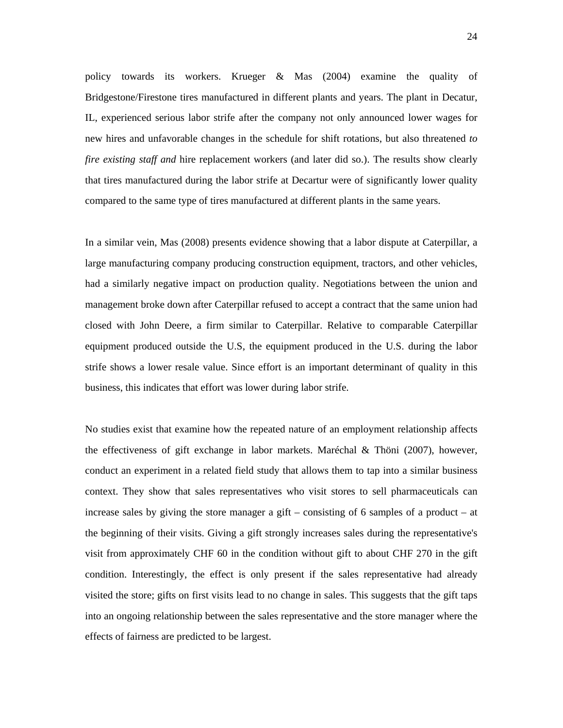policy towards its workers. Krueger & Mas (2004) examine the quality of Bridgestone/Firestone tires manufactured in different plants and years. The plant in Decatur, IL, experienced serious labor strife after the company not only announced lower wages for new hires and unfavorable changes in the schedule for shift rotations, but also threatened *to fire existing staff and* hire replacement workers (and later did so.). The results show clearly that tires manufactured during the labor strife at Decartur were of significantly lower quality compared to the same type of tires manufactured at different plants in the same years.

In a similar vein, Mas (2008) presents evidence showing that a labor dispute at Caterpillar, a large manufacturing company producing construction equipment, tractors, and other vehicles, had a similarly negative impact on production quality. Negotiations between the union and management broke down after Caterpillar refused to accept a contract that the same union had closed with John Deere, a firm similar to Caterpillar. Relative to comparable Caterpillar equipment produced outside the U.S, the equipment produced in the U.S. during the labor strife shows a lower resale value. Since effort is an important determinant of quality in this business, this indicates that effort was lower during labor strife.

No studies exist that examine how the repeated nature of an employment relationship affects the effectiveness of gift exchange in labor markets. Maréchal & Thöni (2007), however, conduct an experiment in a related field study that allows them to tap into a similar business context. They show that sales representatives who visit stores to sell pharmaceuticals can increase sales by giving the store manager a gift – consisting of 6 samples of a product – at the beginning of their visits. Giving a gift strongly increases sales during the representative's visit from approximately CHF 60 in the condition without gift to about CHF 270 in the gift condition. Interestingly, the effect is only present if the sales representative had already visited the store; gifts on first visits lead to no change in sales. This suggests that the gift taps into an ongoing relationship between the sales representative and the store manager where the effects of fairness are predicted to be largest.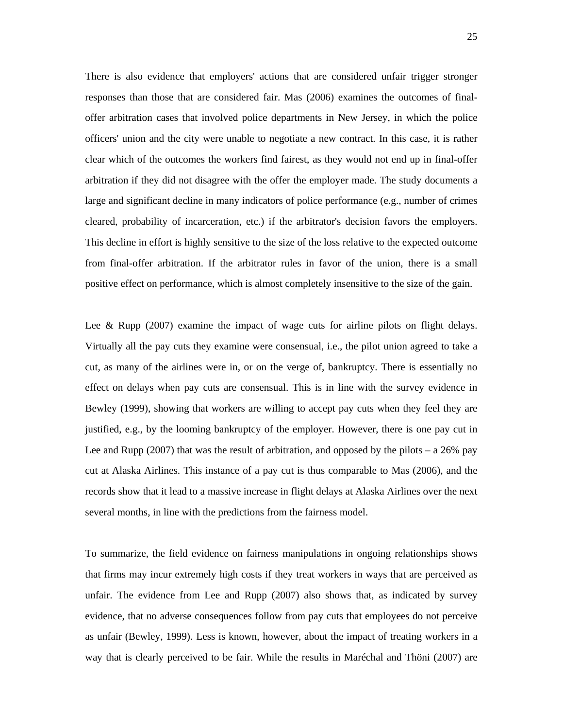There is also evidence that employers' actions that are considered unfair trigger stronger responses than those that are considered fair. Mas (2006) examines the outcomes of finaloffer arbitration cases that involved police departments in New Jersey, in which the police officers' union and the city were unable to negotiate a new contract. In this case, it is rather clear which of the outcomes the workers find fairest, as they would not end up in final-offer arbitration if they did not disagree with the offer the employer made. The study documents a large and significant decline in many indicators of police performance (e.g., number of crimes cleared, probability of incarceration, etc.) if the arbitrator's decision favors the employers. This decline in effort is highly sensitive to the size of the loss relative to the expected outcome from final-offer arbitration. If the arbitrator rules in favor of the union, there is a small positive effect on performance, which is almost completely insensitive to the size of the gain.

Lee & Rupp  $(2007)$  examine the impact of wage cuts for airline pilots on flight delays. Virtually all the pay cuts they examine were consensual, i.e., the pilot union agreed to take a cut, as many of the airlines were in, or on the verge of, bankruptcy. There is essentially no effect on delays when pay cuts are consensual. This is in line with the survey evidence in Bewley (1999), showing that workers are willing to accept pay cuts when they feel they are justified, e.g., by the looming bankruptcy of the employer. However, there is one pay cut in Lee and Rupp (2007) that was the result of arbitration, and opposed by the pilots – a  $26\%$  pay cut at Alaska Airlines. This instance of a pay cut is thus comparable to Mas (2006), and the records show that it lead to a massive increase in flight delays at Alaska Airlines over the next several months, in line with the predictions from the fairness model.

To summarize, the field evidence on fairness manipulations in ongoing relationships shows that firms may incur extremely high costs if they treat workers in ways that are perceived as unfair. The evidence from Lee and Rupp (2007) also shows that, as indicated by survey evidence, that no adverse consequences follow from pay cuts that employees do not perceive as unfair (Bewley, 1999). Less is known, however, about the impact of treating workers in a way that is clearly perceived to be fair. While the results in Maréchal and Thöni (2007) are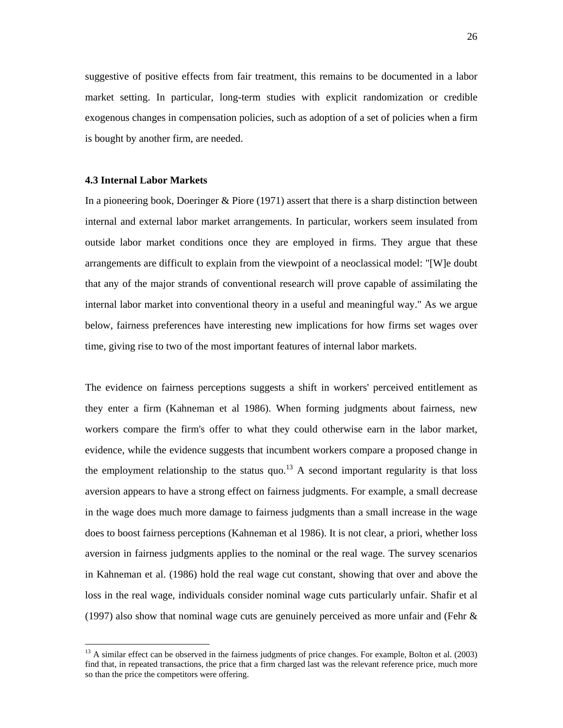suggestive of positive effects from fair treatment, this remains to be documented in a labor market setting. In particular, long-term studies with explicit randomization or credible exogenous changes in compensation policies, such as adoption of a set of policies when a firm is bought by another firm, are needed.

#### **4.3 Internal Labor Markets**

 $\overline{a}$ 

In a pioneering book, Doeringer & Piore (1971) assert that there is a sharp distinction between internal and external labor market arrangements. In particular, workers seem insulated from outside labor market conditions once they are employed in firms. They argue that these arrangements are difficult to explain from the viewpoint of a neoclassical model: "[W]e doubt that any of the major strands of conventional research will prove capable of assimilating the internal labor market into conventional theory in a useful and meaningful way." As we argue below, fairness preferences have interesting new implications for how firms set wages over time, giving rise to two of the most important features of internal labor markets.

The evidence on fairness perceptions suggests a shift in workers' perceived entitlement as they enter a firm (Kahneman et al 1986). When forming judgments about fairness, new workers compare the firm's offer to what they could otherwise earn in the labor market, evidence, while the evidence suggests that incumbent workers compare a proposed change in the employment relationship to the status quo.<sup>13</sup> A second important regularity is that loss aversion appears to have a strong effect on fairness judgments. For example, a small decrease in the wage does much more damage to fairness judgments than a small increase in the wage does to boost fairness perceptions (Kahneman et al 1986). It is not clear, a priori, whether loss aversion in fairness judgments applies to the nominal or the real wage. The survey scenarios in Kahneman et al. (1986) hold the real wage cut constant, showing that over and above the loss in the real wage, individuals consider nominal wage cuts particularly unfair. Shafir et al (1997) also show that nominal wage cuts are genuinely perceived as more unfair and (Fehr &

 $<sup>13</sup>$  A similar effect can be observed in the fairness judgments of price changes. For example, Bolton et al. (2003)</sup> find that, in repeated transactions, the price that a firm charged last was the relevant reference price, much more so than the price the competitors were offering.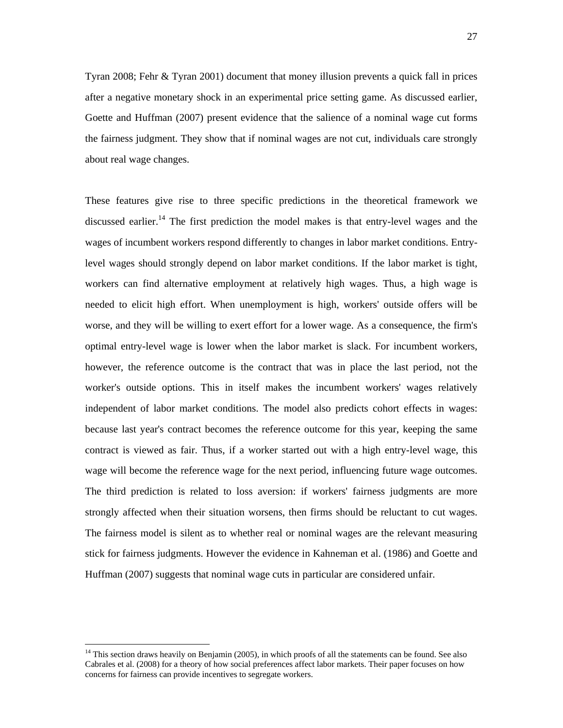Tyran 2008; Fehr & Tyran 2001) document that money illusion prevents a quick fall in prices after a negative monetary shock in an experimental price setting game. As discussed earlier, Goette and Huffman (2007) present evidence that the salience of a nominal wage cut forms the fairness judgment. They show that if nominal wages are not cut, individuals care strongly about real wage changes.

These features give rise to three specific predictions in the theoretical framework we discussed earlier.<sup>14</sup> The first prediction the model makes is that entry-level wages and the wages of incumbent workers respond differently to changes in labor market conditions. Entrylevel wages should strongly depend on labor market conditions. If the labor market is tight, workers can find alternative employment at relatively high wages. Thus, a high wage is needed to elicit high effort. When unemployment is high, workers' outside offers will be worse, and they will be willing to exert effort for a lower wage. As a consequence, the firm's optimal entry-level wage is lower when the labor market is slack. For incumbent workers, however, the reference outcome is the contract that was in place the last period, not the worker's outside options. This in itself makes the incumbent workers' wages relatively independent of labor market conditions. The model also predicts cohort effects in wages: because last year's contract becomes the reference outcome for this year, keeping the same contract is viewed as fair. Thus, if a worker started out with a high entry-level wage, this wage will become the reference wage for the next period, influencing future wage outcomes. The third prediction is related to loss aversion: if workers' fairness judgments are more strongly affected when their situation worsens, then firms should be reluctant to cut wages. The fairness model is silent as to whether real or nominal wages are the relevant measuring stick for fairness judgments. However the evidence in Kahneman et al. (1986) and Goette and Huffman (2007) suggests that nominal wage cuts in particular are considered unfair.

<sup>&</sup>lt;sup>14</sup> This section draws heavily on Benjamin (2005), in which proofs of all the statements can be found. See also Cabrales et al. (2008) for a theory of how social preferences affect labor markets. Their paper focuses on how concerns for fairness can provide incentives to segregate workers.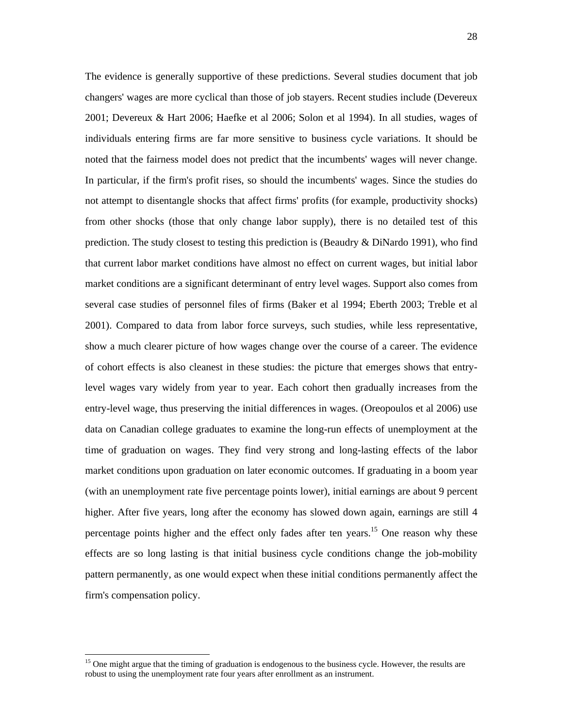The evidence is generally supportive of these predictions. Several studies document that job changers' wages are more cyclical than those of job stayers. Recent studies include (Devereux 2001; Devereux & Hart 2006; Haefke et al 2006; Solon et al 1994). In all studies, wages of individuals entering firms are far more sensitive to business cycle variations. It should be noted that the fairness model does not predict that the incumbents' wages will never change. In particular, if the firm's profit rises, so should the incumbents' wages. Since the studies do not attempt to disentangle shocks that affect firms' profits (for example, productivity shocks) from other shocks (those that only change labor supply), there is no detailed test of this prediction. The study closest to testing this prediction is (Beaudry & DiNardo 1991), who find that current labor market conditions have almost no effect on current wages, but initial labor market conditions are a significant determinant of entry level wages. Support also comes from several case studies of personnel files of firms (Baker et al 1994; Eberth 2003; Treble et al 2001). Compared to data from labor force surveys, such studies, while less representative, show a much clearer picture of how wages change over the course of a career. The evidence of cohort effects is also cleanest in these studies: the picture that emerges shows that entrylevel wages vary widely from year to year. Each cohort then gradually increases from the entry-level wage, thus preserving the initial differences in wages. (Oreopoulos et al 2006) use data on Canadian college graduates to examine the long-run effects of unemployment at the time of graduation on wages. They find very strong and long-lasting effects of the labor market conditions upon graduation on later economic outcomes. If graduating in a boom year (with an unemployment rate five percentage points lower), initial earnings are about 9 percent higher. After five years, long after the economy has slowed down again, earnings are still 4 percentage points higher and the effect only fades after ten years.<sup>15</sup> One reason why these effects are so long lasting is that initial business cycle conditions change the job-mobility pattern permanently, as one would expect when these initial conditions permanently affect the firm's compensation policy.

<sup>&</sup>lt;sup>15</sup> One might argue that the timing of graduation is endogenous to the business cycle. However, the results are robust to using the unemployment rate four years after enrollment as an instrument.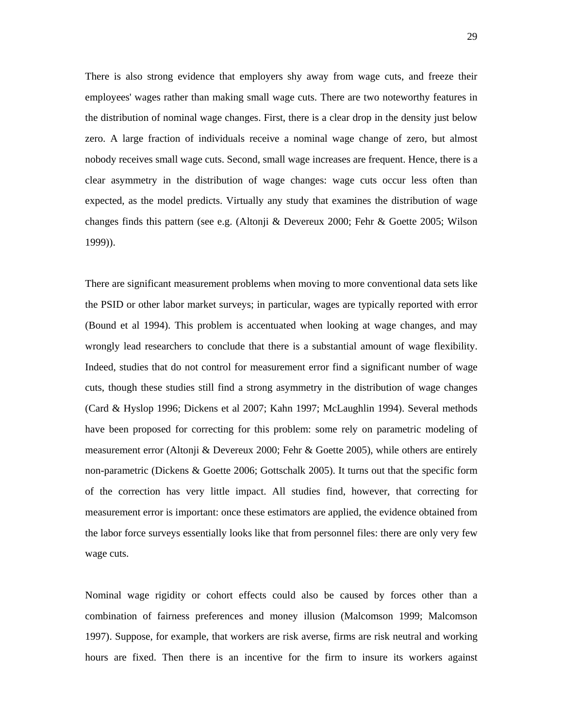There is also strong evidence that employers shy away from wage cuts, and freeze their employees' wages rather than making small wage cuts. There are two noteworthy features in the distribution of nominal wage changes. First, there is a clear drop in the density just below zero. A large fraction of individuals receive a nominal wage change of zero, but almost nobody receives small wage cuts. Second, small wage increases are frequent. Hence, there is a clear asymmetry in the distribution of wage changes: wage cuts occur less often than expected, as the model predicts. Virtually any study that examines the distribution of wage changes finds this pattern (see e.g. (Altonji & Devereux 2000; Fehr & Goette 2005; Wilson 1999)).

There are significant measurement problems when moving to more conventional data sets like the PSID or other labor market surveys; in particular, wages are typically reported with error (Bound et al 1994). This problem is accentuated when looking at wage changes, and may wrongly lead researchers to conclude that there is a substantial amount of wage flexibility. Indeed, studies that do not control for measurement error find a significant number of wage cuts, though these studies still find a strong asymmetry in the distribution of wage changes (Card & Hyslop 1996; Dickens et al 2007; Kahn 1997; McLaughlin 1994). Several methods have been proposed for correcting for this problem: some rely on parametric modeling of measurement error (Altonji & Devereux 2000; Fehr & Goette 2005), while others are entirely non-parametric (Dickens & Goette 2006; Gottschalk 2005). It turns out that the specific form of the correction has very little impact. All studies find, however, that correcting for measurement error is important: once these estimators are applied, the evidence obtained from the labor force surveys essentially looks like that from personnel files: there are only very few wage cuts.

Nominal wage rigidity or cohort effects could also be caused by forces other than a combination of fairness preferences and money illusion (Malcomson 1999; Malcomson 1997). Suppose, for example, that workers are risk averse, firms are risk neutral and working hours are fixed. Then there is an incentive for the firm to insure its workers against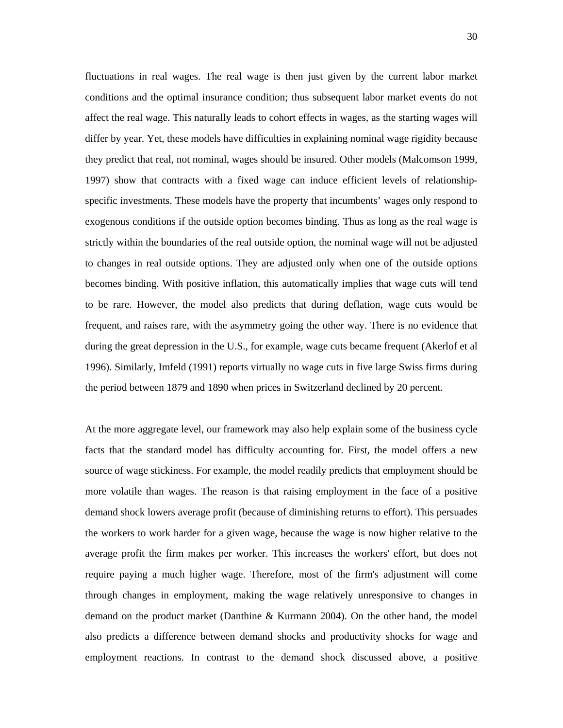fluctuations in real wages. The real wage is then just given by the current labor market conditions and the optimal insurance condition; thus subsequent labor market events do not affect the real wage. This naturally leads to cohort effects in wages, as the starting wages will differ by year. Yet, these models have difficulties in explaining nominal wage rigidity because they predict that real, not nominal, wages should be insured. Other models (Malcomson 1999, 1997) show that contracts with a fixed wage can induce efficient levels of relationshipspecific investments. These models have the property that incumbents' wages only respond to exogenous conditions if the outside option becomes binding. Thus as long as the real wage is strictly within the boundaries of the real outside option, the nominal wage will not be adjusted to changes in real outside options. They are adjusted only when one of the outside options becomes binding. With positive inflation, this automatically implies that wage cuts will tend to be rare. However, the model also predicts that during deflation, wage cuts would be frequent, and raises rare, with the asymmetry going the other way. There is no evidence that during the great depression in the U.S., for example, wage cuts became frequent (Akerlof et al 1996). Similarly, Imfeld (1991) reports virtually no wage cuts in five large Swiss firms during the period between 1879 and 1890 when prices in Switzerland declined by 20 percent.

At the more aggregate level, our framework may also help explain some of the business cycle facts that the standard model has difficulty accounting for. First, the model offers a new source of wage stickiness. For example, the model readily predicts that employment should be more volatile than wages. The reason is that raising employment in the face of a positive demand shock lowers average profit (because of diminishing returns to effort). This persuades the workers to work harder for a given wage, because the wage is now higher relative to the average profit the firm makes per worker. This increases the workers' effort, but does not require paying a much higher wage. Therefore, most of the firm's adjustment will come through changes in employment, making the wage relatively unresponsive to changes in demand on the product market (Danthine & Kurmann 2004). On the other hand, the model also predicts a difference between demand shocks and productivity shocks for wage and employment reactions. In contrast to the demand shock discussed above, a positive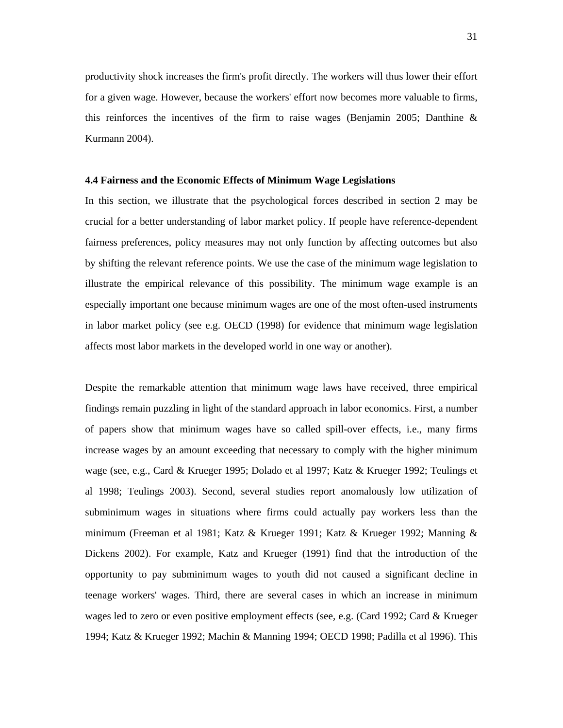productivity shock increases the firm's profit directly. The workers will thus lower their effort for a given wage. However, because the workers' effort now becomes more valuable to firms, this reinforces the incentives of the firm to raise wages (Benjamin 2005; Danthine & Kurmann 2004).

#### **4.4 Fairness and the Economic Effects of Minimum Wage Legislations**

In this section, we illustrate that the psychological forces described in section 2 may be crucial for a better understanding of labor market policy. If people have reference-dependent fairness preferences, policy measures may not only function by affecting outcomes but also by shifting the relevant reference points. We use the case of the minimum wage legislation to illustrate the empirical relevance of this possibility. The minimum wage example is an especially important one because minimum wages are one of the most often-used instruments in labor market policy (see e.g. OECD (1998) for evidence that minimum wage legislation affects most labor markets in the developed world in one way or another).

Despite the remarkable attention that minimum wage laws have received, three empirical findings remain puzzling in light of the standard approach in labor economics. First, a number of papers show that minimum wages have so called spill-over effects, i.e., many firms increase wages by an amount exceeding that necessary to comply with the higher minimum wage (see, e.g., Card & Krueger 1995; Dolado et al 1997; Katz & Krueger 1992; Teulings et al 1998; Teulings 2003). Second, several studies report anomalously low utilization of subminimum wages in situations where firms could actually pay workers less than the minimum (Freeman et al 1981; Katz & Krueger 1991; Katz & Krueger 1992; Manning & Dickens 2002). For example, Katz and Krueger (1991) find that the introduction of the opportunity to pay subminimum wages to youth did not caused a significant decline in teenage workers' wages. Third, there are several cases in which an increase in minimum wages led to zero or even positive employment effects (see, e.g. (Card 1992; Card & Krueger 1994; Katz & Krueger 1992; Machin & Manning 1994; OECD 1998; Padilla et al 1996). This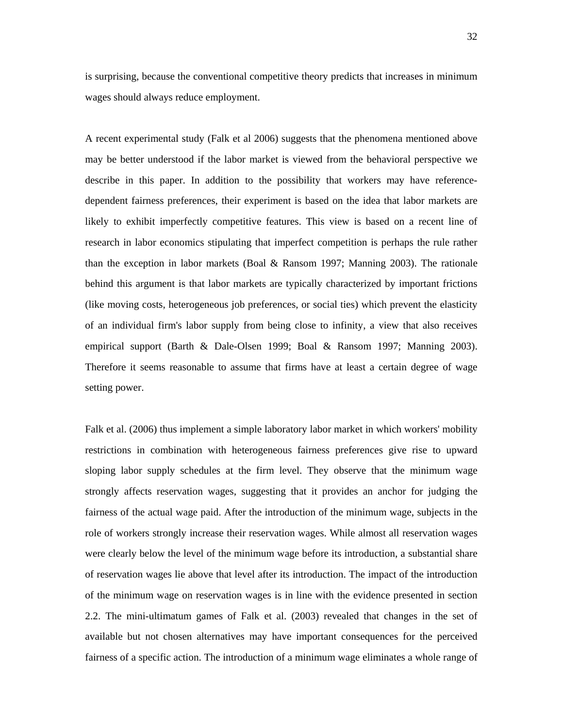is surprising, because the conventional competitive theory predicts that increases in minimum wages should always reduce employment.

A recent experimental study (Falk et al 2006) suggests that the phenomena mentioned above may be better understood if the labor market is viewed from the behavioral perspective we describe in this paper. In addition to the possibility that workers may have referencedependent fairness preferences, their experiment is based on the idea that labor markets are likely to exhibit imperfectly competitive features. This view is based on a recent line of research in labor economics stipulating that imperfect competition is perhaps the rule rather than the exception in labor markets (Boal & Ransom 1997; Manning 2003). The rationale behind this argument is that labor markets are typically characterized by important frictions (like moving costs, heterogeneous job preferences, or social ties) which prevent the elasticity of an individual firm's labor supply from being close to infinity, a view that also receives empirical support (Barth & Dale-Olsen 1999; Boal & Ransom 1997; Manning 2003). Therefore it seems reasonable to assume that firms have at least a certain degree of wage setting power.

Falk et al. (2006) thus implement a simple laboratory labor market in which workers' mobility restrictions in combination with heterogeneous fairness preferences give rise to upward sloping labor supply schedules at the firm level. They observe that the minimum wage strongly affects reservation wages, suggesting that it provides an anchor for judging the fairness of the actual wage paid. After the introduction of the minimum wage, subjects in the role of workers strongly increase their reservation wages. While almost all reservation wages were clearly below the level of the minimum wage before its introduction, a substantial share of reservation wages lie above that level after its introduction. The impact of the introduction of the minimum wage on reservation wages is in line with the evidence presented in section 2.2. The mini-ultimatum games of Falk et al. (2003) revealed that changes in the set of available but not chosen alternatives may have important consequences for the perceived fairness of a specific action. The introduction of a minimum wage eliminates a whole range of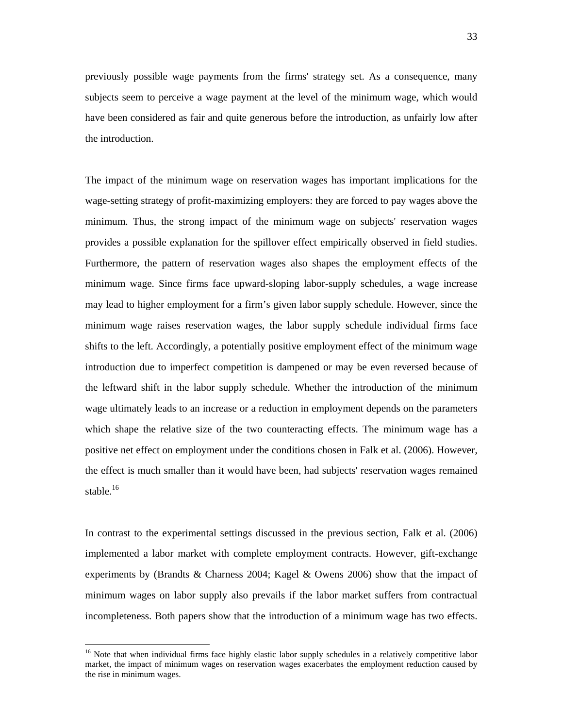previously possible wage payments from the firms' strategy set. As a consequence, many subjects seem to perceive a wage payment at the level of the minimum wage, which would have been considered as fair and quite generous before the introduction, as unfairly low after the introduction.

The impact of the minimum wage on reservation wages has important implications for the wage-setting strategy of profit-maximizing employers: they are forced to pay wages above the minimum. Thus, the strong impact of the minimum wage on subjects' reservation wages provides a possible explanation for the spillover effect empirically observed in field studies. Furthermore, the pattern of reservation wages also shapes the employment effects of the minimum wage. Since firms face upward-sloping labor-supply schedules, a wage increase may lead to higher employment for a firm's given labor supply schedule. However, since the minimum wage raises reservation wages, the labor supply schedule individual firms face shifts to the left. Accordingly, a potentially positive employment effect of the minimum wage introduction due to imperfect competition is dampened or may be even reversed because of the leftward shift in the labor supply schedule. Whether the introduction of the minimum wage ultimately leads to an increase or a reduction in employment depends on the parameters which shape the relative size of the two counteracting effects. The minimum wage has a positive net effect on employment under the conditions chosen in Falk et al. (2006). However, the effect is much smaller than it would have been, had subjects' reservation wages remained stable.<sup>16</sup>

In contrast to the experimental settings discussed in the previous section, Falk et al. (2006) implemented a labor market with complete employment contracts. However, gift-exchange experiments by (Brandts & Charness 2004; Kagel & Owens 2006) show that the impact of minimum wages on labor supply also prevails if the labor market suffers from contractual incompleteness. Both papers show that the introduction of a minimum wage has two effects.

<sup>&</sup>lt;sup>16</sup> Note that when individual firms face highly elastic labor supply schedules in a relatively competitive labor market, the impact of minimum wages on reservation wages exacerbates the employment reduction caused by the rise in minimum wages.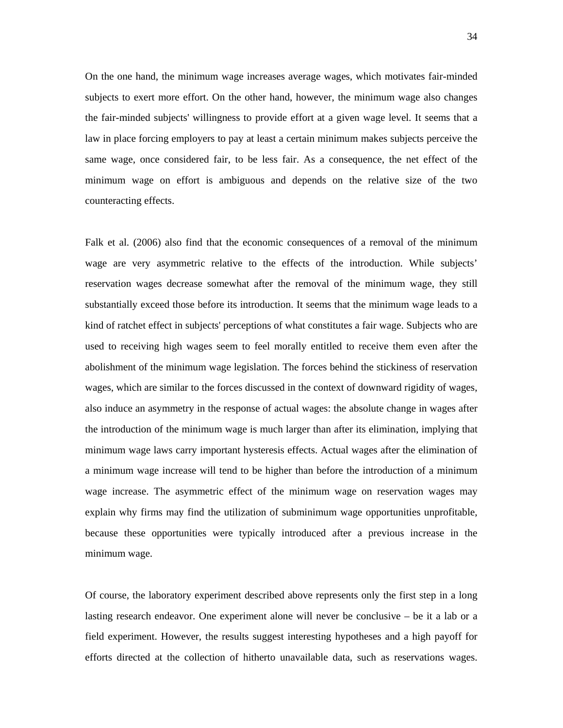On the one hand, the minimum wage increases average wages, which motivates fair-minded subjects to exert more effort. On the other hand, however, the minimum wage also changes the fair-minded subjects' willingness to provide effort at a given wage level. It seems that a law in place forcing employers to pay at least a certain minimum makes subjects perceive the same wage, once considered fair, to be less fair. As a consequence, the net effect of the minimum wage on effort is ambiguous and depends on the relative size of the two counteracting effects.

Falk et al. (2006) also find that the economic consequences of a removal of the minimum wage are very asymmetric relative to the effects of the introduction. While subjects' reservation wages decrease somewhat after the removal of the minimum wage, they still substantially exceed those before its introduction. It seems that the minimum wage leads to a kind of ratchet effect in subjects' perceptions of what constitutes a fair wage. Subjects who are used to receiving high wages seem to feel morally entitled to receive them even after the abolishment of the minimum wage legislation. The forces behind the stickiness of reservation wages, which are similar to the forces discussed in the context of downward rigidity of wages, also induce an asymmetry in the response of actual wages: the absolute change in wages after the introduction of the minimum wage is much larger than after its elimination, implying that minimum wage laws carry important hysteresis effects. Actual wages after the elimination of a minimum wage increase will tend to be higher than before the introduction of a minimum wage increase. The asymmetric effect of the minimum wage on reservation wages may explain why firms may find the utilization of subminimum wage opportunities unprofitable, because these opportunities were typically introduced after a previous increase in the minimum wage.

Of course, the laboratory experiment described above represents only the first step in a long lasting research endeavor. One experiment alone will never be conclusive – be it a lab or a field experiment. However, the results suggest interesting hypotheses and a high payoff for efforts directed at the collection of hitherto unavailable data, such as reservations wages.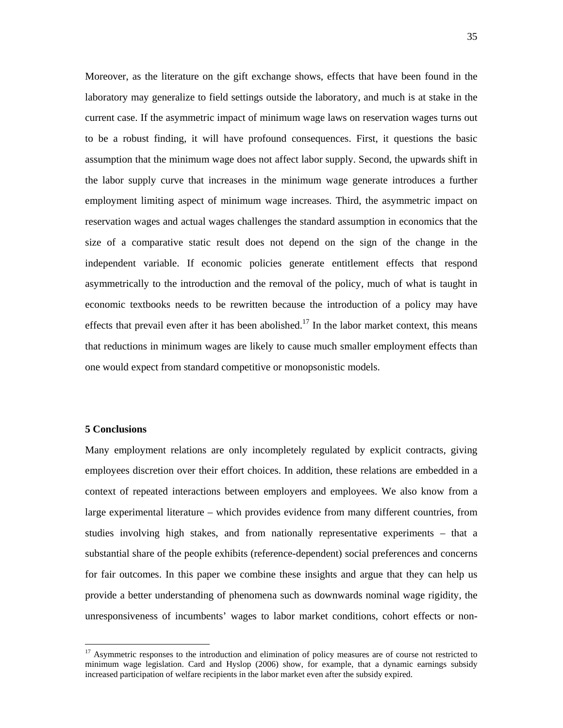Moreover, as the literature on the gift exchange shows, effects that have been found in the laboratory may generalize to field settings outside the laboratory, and much is at stake in the current case. If the asymmetric impact of minimum wage laws on reservation wages turns out to be a robust finding, it will have profound consequences. First, it questions the basic assumption that the minimum wage does not affect labor supply. Second, the upwards shift in the labor supply curve that increases in the minimum wage generate introduces a further employment limiting aspect of minimum wage increases. Third, the asymmetric impact on reservation wages and actual wages challenges the standard assumption in economics that the size of a comparative static result does not depend on the sign of the change in the independent variable. If economic policies generate entitlement effects that respond asymmetrically to the introduction and the removal of the policy, much of what is taught in economic textbooks needs to be rewritten because the introduction of a policy may have effects that prevail even after it has been abolished.<sup>17</sup> In the labor market context, this means that reductions in minimum wages are likely to cause much smaller employment effects than one would expect from standard competitive or monopsonistic models.

#### **5 Conclusions**

 $\overline{a}$ 

Many employment relations are only incompletely regulated by explicit contracts, giving employees discretion over their effort choices. In addition, these relations are embedded in a context of repeated interactions between employers and employees. We also know from a large experimental literature – which provides evidence from many different countries, from studies involving high stakes, and from nationally representative experiments – that a substantial share of the people exhibits (reference-dependent) social preferences and concerns for fair outcomes. In this paper we combine these insights and argue that they can help us provide a better understanding of phenomena such as downwards nominal wage rigidity, the unresponsiveness of incumbents' wages to labor market conditions, cohort effects or non-

<sup>&</sup>lt;sup>17</sup> Asymmetric responses to the introduction and elimination of policy measures are of course not restricted to minimum wage legislation. Card and Hyslop (2006) show, for example, that a dynamic earnings subsidy increased participation of welfare recipients in the labor market even after the subsidy expired.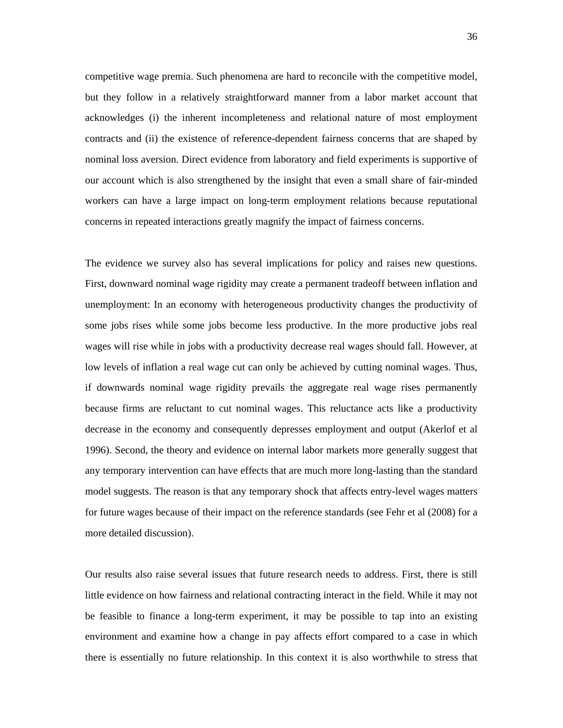competitive wage premia. Such phenomena are hard to reconcile with the competitive model, but they follow in a relatively straightforward manner from a labor market account that acknowledges (i) the inherent incompleteness and relational nature of most employment contracts and (ii) the existence of reference-dependent fairness concerns that are shaped by nominal loss aversion. Direct evidence from laboratory and field experiments is supportive of our account which is also strengthened by the insight that even a small share of fair-minded workers can have a large impact on long-term employment relations because reputational concerns in repeated interactions greatly magnify the impact of fairness concerns.

The evidence we survey also has several implications for policy and raises new questions. First, downward nominal wage rigidity may create a permanent tradeoff between inflation and unemployment: In an economy with heterogeneous productivity changes the productivity of some jobs rises while some jobs become less productive. In the more productive jobs real wages will rise while in jobs with a productivity decrease real wages should fall. However, at low levels of inflation a real wage cut can only be achieved by cutting nominal wages. Thus, if downwards nominal wage rigidity prevails the aggregate real wage rises permanently because firms are reluctant to cut nominal wages. This reluctance acts like a productivity decrease in the economy and consequently depresses employment and output (Akerlof et al 1996). Second, the theory and evidence on internal labor markets more generally suggest that any temporary intervention can have effects that are much more long-lasting than the standard model suggests. The reason is that any temporary shock that affects entry-level wages matters for future wages because of their impact on the reference standards (see Fehr et al (2008) for a more detailed discussion).

Our results also raise several issues that future research needs to address. First, there is still little evidence on how fairness and relational contracting interact in the field. While it may not be feasible to finance a long-term experiment, it may be possible to tap into an existing environment and examine how a change in pay affects effort compared to a case in which there is essentially no future relationship. In this context it is also worthwhile to stress that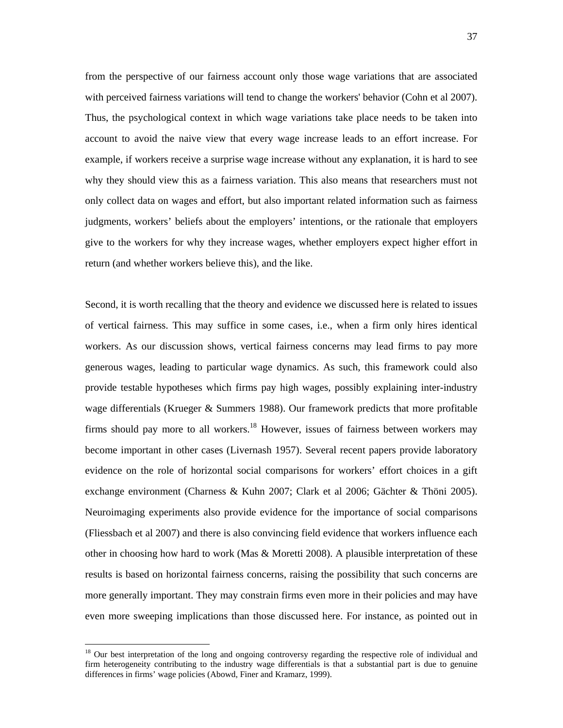from the perspective of our fairness account only those wage variations that are associated with perceived fairness variations will tend to change the workers' behavior (Cohn et al 2007). Thus, the psychological context in which wage variations take place needs to be taken into account to avoid the naive view that every wage increase leads to an effort increase. For example, if workers receive a surprise wage increase without any explanation, it is hard to see why they should view this as a fairness variation. This also means that researchers must not only collect data on wages and effort, but also important related information such as fairness judgments, workers' beliefs about the employers' intentions, or the rationale that employers give to the workers for why they increase wages, whether employers expect higher effort in return (and whether workers believe this), and the like.

Second, it is worth recalling that the theory and evidence we discussed here is related to issues of vertical fairness. This may suffice in some cases, i.e., when a firm only hires identical workers. As our discussion shows, vertical fairness concerns may lead firms to pay more generous wages, leading to particular wage dynamics. As such, this framework could also provide testable hypotheses which firms pay high wages, possibly explaining inter-industry wage differentials (Krueger & Summers 1988). Our framework predicts that more profitable firms should pay more to all workers.<sup>18</sup> However, issues of fairness between workers may become important in other cases (Livernash 1957). Several recent papers provide laboratory evidence on the role of horizontal social comparisons for workers' effort choices in a gift exchange environment (Charness & Kuhn 2007; Clark et al 2006; Gächter & Thöni 2005). Neuroimaging experiments also provide evidence for the importance of social comparisons (Fliessbach et al 2007) and there is also convincing field evidence that workers influence each other in choosing how hard to work (Mas  $\&$  Moretti 2008). A plausible interpretation of these results is based on horizontal fairness concerns, raising the possibility that such concerns are more generally important. They may constrain firms even more in their policies and may have even more sweeping implications than those discussed here. For instance, as pointed out in

<sup>&</sup>lt;sup>18</sup> Our best interpretation of the long and ongoing controversy regarding the respective role of individual and firm heterogeneity contributing to the industry wage differentials is that a substantial part is due to genuine differences in firms' wage policies (Abowd, Finer and Kramarz, 1999).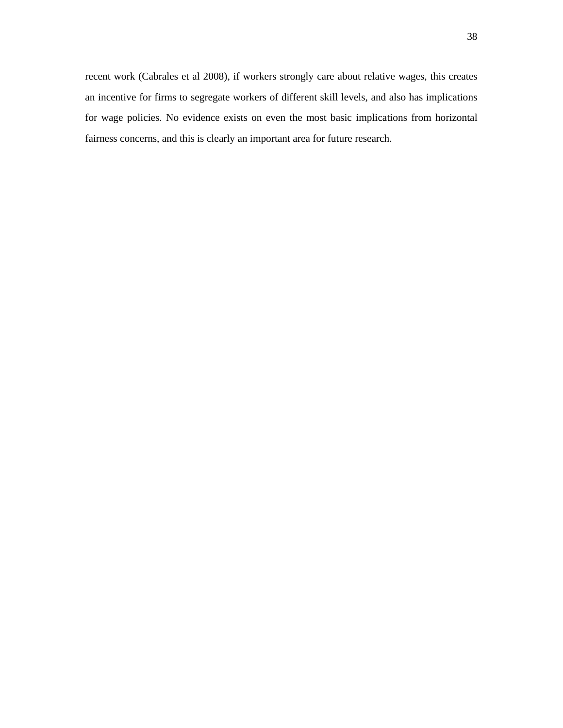recent work (Cabrales et al 2008), if workers strongly care about relative wages, this creates an incentive for firms to segregate workers of different skill levels, and also has implications for wage policies. No evidence exists on even the most basic implications from horizontal fairness concerns, and this is clearly an important area for future research.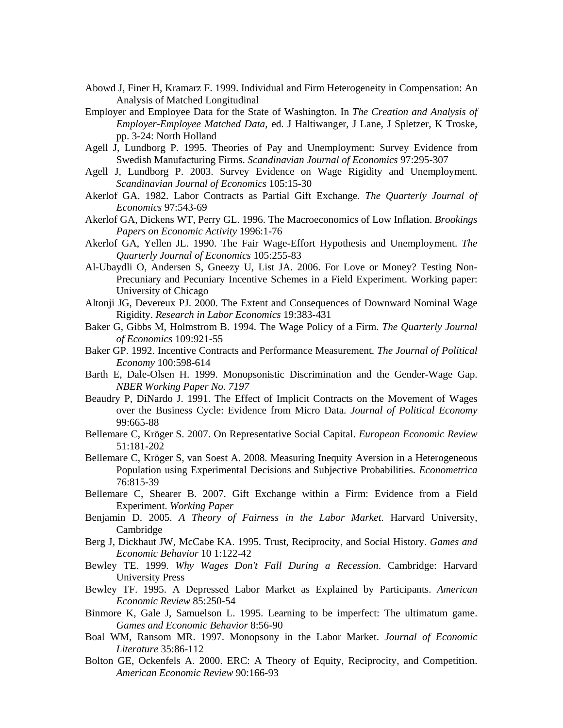- Abowd J, Finer H, Kramarz F. 1999. Individual and Firm Heterogeneity in Compensation: An Analysis of Matched Longitudinal
- Employer and Employee Data for the State of Washington. In *The Creation and Analysis of Employer-Employee Matched Data*, ed. J Haltiwanger, J Lane, J Spletzer, K Troske, pp. 3-24: North Holland
- Agell J, Lundborg P. 1995. Theories of Pay and Unemployment: Survey Evidence from Swedish Manufacturing Firms. *Scandinavian Journal of Economics* 97:295-307
- Agell J, Lundborg P. 2003. Survey Evidence on Wage Rigidity and Unemployment. *Scandinavian Journal of Economics* 105:15-30
- Akerlof GA. 1982. Labor Contracts as Partial Gift Exchange. *The Quarterly Journal of Economics* 97:543-69
- Akerlof GA, Dickens WT, Perry GL. 1996. The Macroeconomics of Low Inflation. *Brookings Papers on Economic Activity* 1996:1-76
- Akerlof GA, Yellen JL. 1990. The Fair Wage-Effort Hypothesis and Unemployment. *The Quarterly Journal of Economics* 105:255-83
- Al-Ubaydli O, Andersen S, Gneezy U, List JA. 2006. For Love or Money? Testing Non-Precuniary and Pecuniary Incentive Schemes in a Field Experiment. Working paper: University of Chicago
- Altonji JG, Devereux PJ. 2000. The Extent and Consequences of Downward Nominal Wage Rigidity. *Research in Labor Economics* 19:383-431
- Baker G, Gibbs M, Holmstrom B. 1994. The Wage Policy of a Firm. *The Quarterly Journal of Economics* 109:921-55
- Baker GP. 1992. Incentive Contracts and Performance Measurement. *The Journal of Political Economy* 100:598-614
- Barth E, Dale-Olsen H. 1999. Monopsonistic Discrimination and the Gender-Wage Gap. *NBER Working Paper No. 7197*
- Beaudry P, DiNardo J. 1991. The Effect of Implicit Contracts on the Movement of Wages over the Business Cycle: Evidence from Micro Data. *Journal of Political Economy* 99:665-88
- Bellemare C, Kröger S. 2007. On Representative Social Capital. *European Economic Review* 51:181-202
- Bellemare C, Kröger S, van Soest A. 2008. Measuring Inequity Aversion in a Heterogeneous Population using Experimental Decisions and Subjective Probabilities. *Econometrica*  76:815-39
- Bellemare C, Shearer B. 2007. Gift Exchange within a Firm: Evidence from a Field Experiment. *Working Paper*
- Benjamin D. 2005. *A Theory of Fairness in the Labor Market*. Harvard University, Cambridge
- Berg J, Dickhaut JW, McCabe KA. 1995. Trust, Reciprocity, and Social History. *Games and Economic Behavior* 10 1:122-42
- Bewley TE. 1999. *Why Wages Don't Fall During a Recession*. Cambridge: Harvard University Press
- Bewley TF. 1995. A Depressed Labor Market as Explained by Participants. *American Economic Review* 85:250-54
- Binmore K, Gale J, Samuelson L. 1995. Learning to be imperfect: The ultimatum game. *Games and Economic Behavior* 8:56-90
- Boal WM, Ransom MR. 1997. Monopsony in the Labor Market. *Journal of Economic Literature* 35:86-112
- Bolton GE, Ockenfels A. 2000. ERC: A Theory of Equity, Reciprocity, and Competition. *American Economic Review* 90:166-93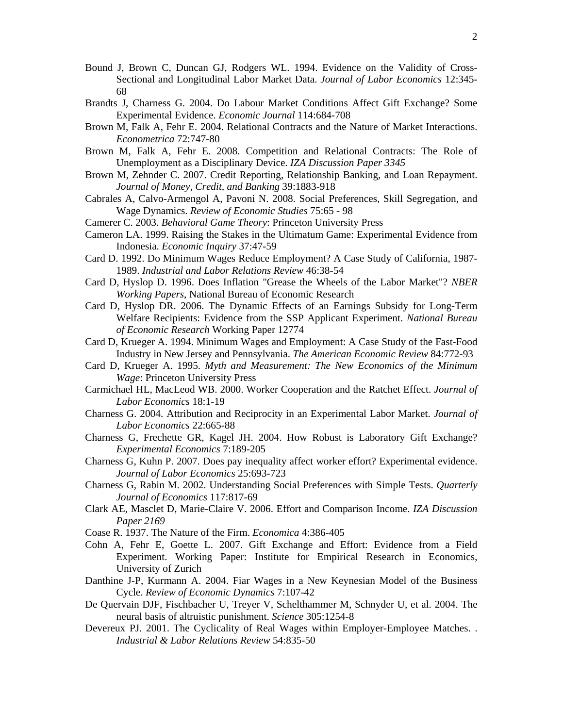- Bound J, Brown C, Duncan GJ, Rodgers WL. 1994. Evidence on the Validity of Cross-Sectional and Longitudinal Labor Market Data. *Journal of Labor Economics* 12:345- 68
- Brandts J, Charness G. 2004. Do Labour Market Conditions Affect Gift Exchange? Some Experimental Evidence. *Economic Journal* 114:684-708
- Brown M, Falk A, Fehr E. 2004. Relational Contracts and the Nature of Market Interactions. *Econometrica* 72:747-80
- Brown M, Falk A, Fehr E. 2008. Competition and Relational Contracts: The Role of Unemployment as a Disciplinary Device. *IZA Discussion Paper 3345*
- Brown M, Zehnder C. 2007. Credit Reporting, Relationship Banking, and Loan Repayment. *Journal of Money, Credit, and Banking* 39:1883-918
- Cabrales A, Calvo-Armengol A, Pavoni N. 2008. Social Preferences, Skill Segregation, and Wage Dynamics. *Review of Economic Studies* 75:65 - 98
- Camerer C. 2003. *Behavioral Game Theory*: Princeton University Press
- Cameron LA. 1999. Raising the Stakes in the Ultimatum Game: Experimental Evidence from Indonesia. *Economic Inquiry* 37:47-59
- Card D. 1992. Do Minimum Wages Reduce Employment? A Case Study of California, 1987- 1989. *Industrial and Labor Relations Review* 46:38-54
- Card D, Hyslop D. 1996. Does Inflation "Grease the Wheels of the Labor Market"? *NBER Working Papers*, National Bureau of Economic Research
- Card D, Hyslop DR. 2006. The Dynamic Effects of an Earnings Subsidy for Long-Term Welfare Recipients: Evidence from the SSP Applicant Experiment. *National Bureau of Economic Research* Working Paper 12774
- Card D, Krueger A. 1994. Minimum Wages and Employment: A Case Study of the Fast-Food Industry in New Jersey and Pennsylvania. *The American Economic Review* 84:772-93
- Card D, Krueger A. 1995. *Myth and Measurement: The New Economics of the Minimum Wage*: Princeton University Press
- Carmichael HL, MacLeod WB. 2000. Worker Cooperation and the Ratchet Effect. *Journal of Labor Economics* 18:1-19
- Charness G. 2004. Attribution and Reciprocity in an Experimental Labor Market. *Journal of Labor Economics* 22:665-88
- Charness G, Frechette GR, Kagel JH. 2004. How Robust is Laboratory Gift Exchange? *Experimental Economics* 7:189-205
- Charness G, Kuhn P. 2007. Does pay inequality affect worker effort? Experimental evidence. *Journal of Labor Economics* 25:693-723
- Charness G, Rabin M. 2002. Understanding Social Preferences with Simple Tests. *Quarterly Journal of Economics* 117:817-69
- Clark AE, Masclet D, Marie-Claire V. 2006. Effort and Comparison Income. *IZA Discussion Paper 2169*
- Coase R. 1937. The Nature of the Firm. *Economica* 4:386-405
- Cohn A, Fehr E, Goette L. 2007. Gift Exchange and Effort: Evidence from a Field Experiment. Working Paper: Institute for Empirical Research in Economics, University of Zurich
- Danthine J-P, Kurmann A. 2004. Fiar Wages in a New Keynesian Model of the Business Cycle. *Review of Economic Dynamics* 7:107-42
- De Quervain DJF, Fischbacher U, Treyer V, Schelthammer M, Schnyder U, et al. 2004. The neural basis of altruistic punishment. *Science* 305:1254-8
- Devereux PJ. 2001. The Cyclicality of Real Wages within Employer-Employee Matches. . *Industrial & Labor Relations Review* 54:835-50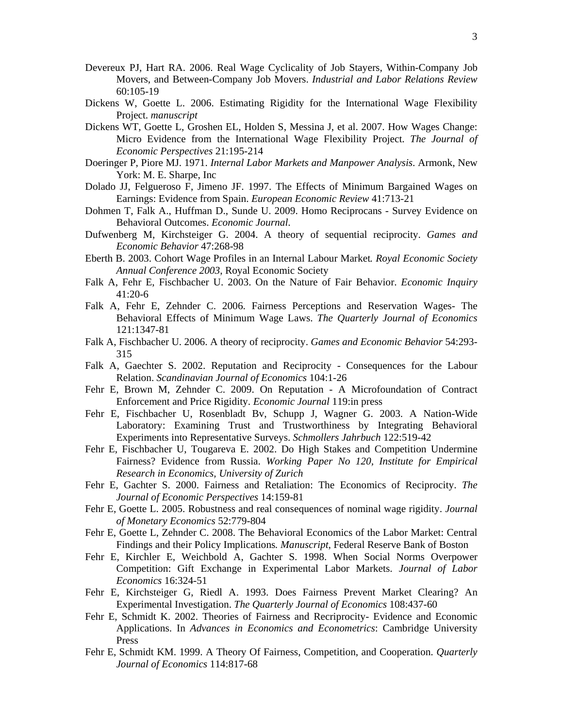- Devereux PJ, Hart RA. 2006. Real Wage Cyclicality of Job Stayers, Within-Company Job Movers, and Between-Company Job Movers. *Industrial and Labor Relations Review* 60:105-19
- Dickens W, Goette L. 2006. Estimating Rigidity for the International Wage Flexibility Project. *manuscript*
- Dickens WT, Goette L, Groshen EL, Holden S, Messina J, et al. 2007. How Wages Change: Micro Evidence from the International Wage Flexibility Project. *The Journal of Economic Perspectives* 21:195-214
- Doeringer P, Piore MJ. 1971. *Internal Labor Markets and Manpower Analysis*. Armonk, New York: M. E. Sharpe, Inc
- Dolado JJ, Felgueroso F, Jimeno JF. 1997. The Effects of Minimum Bargained Wages on Earnings: Evidence from Spain. *European Economic Review* 41:713-21
- Dohmen T, Falk A., Huffman D., Sunde U. 2009. Homo Reciprocans Survey Evidence on Behavioral Outcomes. *Economic Journal*.
- Dufwenberg M, Kirchsteiger G. 2004. A theory of sequential reciprocity. *Games and Economic Behavior* 47:268-98
- Eberth B. 2003. Cohort Wage Profiles in an Internal Labour Market*. Royal Economic Society Annual Conference 2003*, Royal Economic Society
- Falk A, Fehr E, Fischbacher U. 2003. On the Nature of Fair Behavior. *Economic Inquiry* 41:20-6
- Falk A, Fehr E, Zehnder C. 2006. Fairness Perceptions and Reservation Wages- The Behavioral Effects of Minimum Wage Laws. *The Quarterly Journal of Economics* 121:1347-81
- Falk A, Fischbacher U. 2006. A theory of reciprocity. *Games and Economic Behavior* 54:293- 315
- Falk A, Gaechter S. 2002. Reputation and Reciprocity Consequences for the Labour Relation. *Scandinavian Journal of Economics* 104:1-26
- Fehr E, Brown M, Zehnder C. 2009. On Reputation A Microfoundation of Contract Enforcement and Price Rigidity. *Economic Journal* 119:in press
- Fehr E, Fischbacher U, Rosenbladt Bv, Schupp J, Wagner G. 2003. A Nation-Wide Laboratory: Examining Trust and Trustworthiness by Integrating Behavioral Experiments into Representative Surveys. *Schmollers Jahrbuch* 122:519-42
- Fehr E, Fischbacher U, Tougareva E. 2002. Do High Stakes and Competition Undermine Fairness? Evidence from Russia. *Working Paper No 120, Institute for Empirical Research in Economics, University of Zurich*
- Fehr E, Gachter S. 2000. Fairness and Retaliation: The Economics of Reciprocity. *The Journal of Economic Perspectives* 14:159-81
- Fehr E, Goette L. 2005. Robustness and real consequences of nominal wage rigidity. *Journal of Monetary Economics* 52:779-804
- Fehr E, Goette L, Zehnder C. 2008. The Behavioral Economics of the Labor Market: Central Findings and their Policy Implications*. Manuscript*, Federal Reserve Bank of Boston
- Fehr E, Kirchler E, Weichbold A, Gachter S. 1998. When Social Norms Overpower Competition: Gift Exchange in Experimental Labor Markets. *Journal of Labor Economics* 16:324-51
- Fehr E, Kirchsteiger G, Riedl A. 1993. Does Fairness Prevent Market Clearing? An Experimental Investigation. *The Quarterly Journal of Economics* 108:437-60
- Fehr E, Schmidt K. 2002. Theories of Fairness and Recriprocity- Evidence and Economic Applications. In *Advances in Economics and Econometrics*: Cambridge University Press
- Fehr E, Schmidt KM. 1999. A Theory Of Fairness, Competition, and Cooperation. *Quarterly Journal of Economics* 114:817-68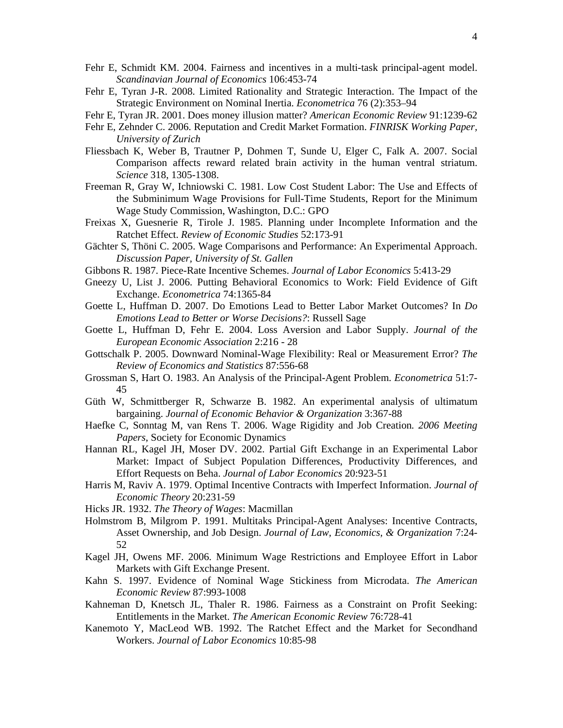- Fehr E, Schmidt KM. 2004. Fairness and incentives in a multi-task principal-agent model. *Scandinavian Journal of Economics* 106:453-74
- Fehr E, Tyran J-R. 2008. Limited Rationality and Strategic Interaction. The Impact of the Strategic Environment on Nominal Inertia. *Econometrica* 76 (2):353–94
- Fehr E, Tyran JR. 2001. Does money illusion matter? *American Economic Review* 91:1239-62
- Fehr E, Zehnder C. 2006. Reputation and Credit Market Formation. *FINRISK Working Paper, University of Zurich*
- Fliessbach K, Weber B, Trautner P, Dohmen T, Sunde U, Elger C, Falk A. 2007. Social Comparison affects reward related brain activity in the human ventral striatum. *Science* 318, 1305-1308.
- Freeman R, Gray W, Ichniowski C. 1981. Low Cost Student Labor: The Use and Effects of the Subminimum Wage Provisions for Full-Time Students, Report for the Minimum Wage Study Commission, Washington, D.C.: GPO
- Freixas X, Guesnerie R, Tirole J. 1985. Planning under Incomplete Information and the Ratchet Effect. *Review of Economic Studies* 52:173-91
- Gächter S, Thöni C. 2005. Wage Comparisons and Performance: An Experimental Approach. *Discussion Paper, University of St. Gallen*
- Gibbons R. 1987. Piece-Rate Incentive Schemes. *Journal of Labor Economics* 5:413-29
- Gneezy U, List J. 2006. Putting Behavioral Economics to Work: Field Evidence of Gift Exchange. *Econometrica* 74:1365-84
- Goette L, Huffman D. 2007. Do Emotions Lead to Better Labor Market Outcomes? In *Do Emotions Lead to Better or Worse Decisions?*: Russell Sage
- Goette L, Huffman D, Fehr E. 2004. Loss Aversion and Labor Supply. *Journal of the European Economic Association* 2:216 - 28
- Gottschalk P. 2005. Downward Nominal-Wage Flexibility: Real or Measurement Error? *The Review of Economics and Statistics* 87:556-68
- Grossman S, Hart O. 1983. An Analysis of the Principal-Agent Problem. *Econometrica* 51:7- 45
- Güth W, Schmittberger R, Schwarze B. 1982. An experimental analysis of ultimatum bargaining. *Journal of Economic Behavior & Organization* 3:367-88
- Haefke C, Sonntag M, van Rens T. 2006. Wage Rigidity and Job Creation*. 2006 Meeting Papers*, Society for Economic Dynamics
- Hannan RL, Kagel JH, Moser DV. 2002. Partial Gift Exchange in an Experimental Labor Market: Impact of Subject Population Differences, Productivity Differences, and Effort Requests on Beha. *Journal of Labor Economics* 20:923-51
- Harris M, Raviv A. 1979. Optimal Incentive Contracts with Imperfect Information. *Journal of Economic Theory* 20:231-59
- Hicks JR. 1932. *The Theory of Wages*: Macmillan
- Holmstrom B, Milgrom P. 1991. Multitaks Principal-Agent Analyses: Incentive Contracts, Asset Ownership, and Job Design. *Journal of Law, Economics, & Organization* 7:24- 52
- Kagel JH, Owens MF. 2006. Minimum Wage Restrictions and Employee Effort in Labor Markets with Gift Exchange Present.
- Kahn S. 1997. Evidence of Nominal Wage Stickiness from Microdata. *The American Economic Review* 87:993-1008
- Kahneman D, Knetsch JL, Thaler R. 1986. Fairness as a Constraint on Profit Seeking: Entitlements in the Market. *The American Economic Review* 76:728-41
- Kanemoto Y, MacLeod WB. 1992. The Ratchet Effect and the Market for Secondhand Workers. *Journal of Labor Economics* 10:85-98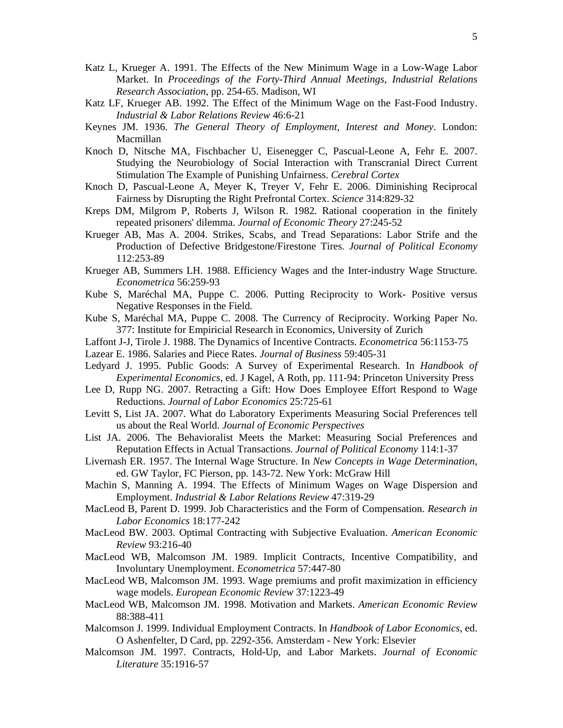- Katz L, Krueger A. 1991. The Effects of the New Minimum Wage in a Low-Wage Labor Market. In *Proceedings of the Forty-Third Annual Meetings, Industrial Relations Research Association*, pp. 254-65. Madison, WI
- Katz LF, Krueger AB. 1992. The Effect of the Minimum Wage on the Fast-Food Industry. *Industrial & Labor Relations Review* 46:6-21
- Keynes JM. 1936. *The General Theory of Employment, Interest and Money*. London: Macmillan
- Knoch D, Nitsche MA, Fischbacher U, Eisenegger C, Pascual-Leone A, Fehr E. 2007. Studying the Neurobiology of Social Interaction with Transcranial Direct Current Stimulation The Example of Punishing Unfairness. *Cerebral Cortex*
- Knoch D, Pascual-Leone A, Meyer K, Treyer V, Fehr E. 2006. Diminishing Reciprocal Fairness by Disrupting the Right Prefrontal Cortex. *Science* 314:829-32
- Kreps DM, Milgrom P, Roberts J, Wilson R. 1982. Rational cooperation in the finitely repeated prisoners' dilemma. *Journal of Economic Theory* 27:245-52
- Krueger AB, Mas A. 2004. Strikes, Scabs, and Tread Separations: Labor Strife and the Production of Defective Bridgestone/Firestone Tires. *Journal of Political Economy* 112:253-89
- Krueger AB, Summers LH. 1988. Efficiency Wages and the Inter-industry Wage Structure. *Econometrica* 56:259-93
- Kube S, Maréchal MA, Puppe C. 2006. Putting Reciprocity to Work- Positive versus Negative Responses in the Field.
- Kube S, Maréchal MA, Puppe C. 2008. The Currency of Reciprocity. Working Paper No. 377: Institute for Empiricial Research in Economics, University of Zurich
- Laffont J-J, Tirole J. 1988. The Dynamics of Incentive Contracts. *Econometrica* 56:1153-75
- Lazear E. 1986. Salaries and Piece Rates. *Journal of Business* 59:405-31
- Ledyard J. 1995. Public Goods: A Survey of Experimental Research. In *Handbook of Experimental Economics*, ed. J Kagel, A Roth, pp. 111-94: Princeton University Press
- Lee D, Rupp NG. 2007. Retracting a Gift: How Does Employee Effort Respond to Wage Reductions. *Journal of Labor Economics* 25:725-61
- Levitt S, List JA. 2007. What do Laboratory Experiments Measuring Social Preferences tell us about the Real World. *Journal of Economic Perspectives*
- List JA. 2006. The Behavioralist Meets the Market: Measuring Social Preferences and Reputation Effects in Actual Transactions. *Journal of Political Economy* 114:1-37
- Livernash ER. 1957. The Internal Wage Structure. In *New Concepts in Wage Determination*, ed. GW Taylor, FC Pierson, pp. 143-72. New York: McGraw Hill
- Machin S, Manning A. 1994. The Effects of Minimum Wages on Wage Dispersion and Employment. *Industrial & Labor Relations Review* 47:319-29
- MacLeod B, Parent D. 1999. Job Characteristics and the Form of Compensation. *Research in Labor Economics* 18:177-242
- MacLeod BW. 2003. Optimal Contracting with Subjective Evaluation. *American Economic Review* 93:216-40
- MacLeod WB, Malcomson JM. 1989. Implicit Contracts, Incentive Compatibility, and Involuntary Unemployment. *Econometrica* 57:447-80
- MacLeod WB, Malcomson JM. 1993. Wage premiums and profit maximization in efficiency wage models. *European Economic Review* 37:1223-49
- MacLeod WB, Malcomson JM. 1998. Motivation and Markets. *American Economic Review* 88:388-411
- Malcomson J. 1999. Individual Employment Contracts. In *Handbook of Labor Economics*, ed. O Ashenfelter, D Card, pp. 2292-356. Amsterdam - New York: Elsevier
- Malcomson JM. 1997. Contracts, Hold-Up, and Labor Markets. *Journal of Economic Literature* 35:1916-57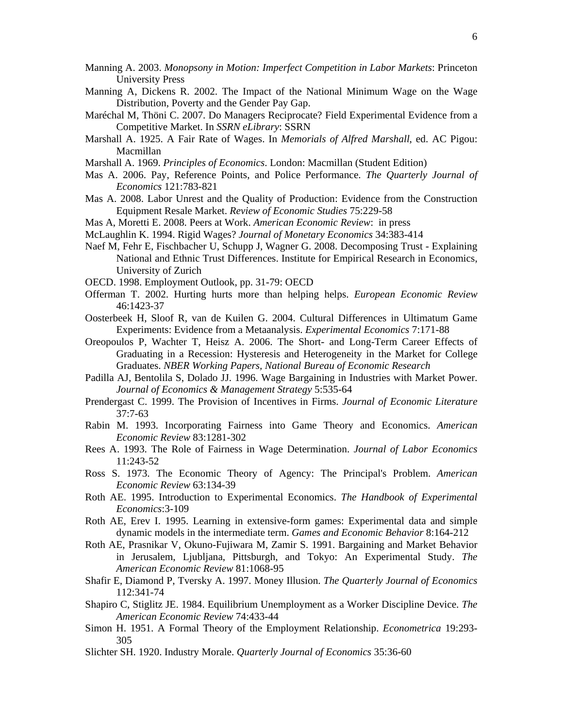- Manning A. 2003. *Monopsony in Motion: Imperfect Competition in Labor Markets*: Princeton University Press
- Manning A, Dickens R. 2002. The Impact of the National Minimum Wage on the Wage Distribution, Poverty and the Gender Pay Gap.
- Maréchal M, Thöni C. 2007. Do Managers Reciprocate? Field Experimental Evidence from a Competitive Market. In *SSRN eLibrary*: SSRN
- Marshall A. 1925. A Fair Rate of Wages. In *Memorials of Alfred Marshall*, ed. AC Pigou: Macmillan
- Marshall A. 1969. *Principles of Economics*. London: Macmillan (Student Edition)
- Mas A. 2006. Pay, Reference Points, and Police Performance. *The Quarterly Journal of Economics* 121:783-821
- Mas A. 2008. Labor Unrest and the Quality of Production: Evidence from the Construction Equipment Resale Market. *Review of Economic Studies* 75:229-58
- Mas A, Moretti E. 2008. Peers at Work. *American Economic Review*: in press
- McLaughlin K. 1994. Rigid Wages? *Journal of Monetary Economics* 34:383-414
- Naef M, Fehr E, Fischbacher U, Schupp J, Wagner G. 2008. Decomposing Trust Explaining National and Ethnic Trust Differences. Institute for Empirical Research in Economics, University of Zurich
- OECD. 1998. Employment Outlook, pp. 31-79: OECD
- Offerman T. 2002. Hurting hurts more than helping helps. *European Economic Review* 46:1423-37
- Oosterbeek H, Sloof R, van de Kuilen G. 2004. Cultural Differences in Ultimatum Game Experiments: Evidence from a Metaanalysis. *Experimental Economics* 7:171-88
- Oreopoulos P, Wachter T, Heisz A. 2006. The Short- and Long-Term Career Effects of Graduating in a Recession: Hysteresis and Heterogeneity in the Market for College Graduates. *NBER Working Papers, National Bureau of Economic Research*
- Padilla AJ, Bentolila S, Dolado JJ. 1996. Wage Bargaining in Industries with Market Power. *Journal of Economics & Management Strategy* 5:535-64
- Prendergast C. 1999. The Provision of Incentives in Firms. *Journal of Economic Literature* 37:7-63
- Rabin M. 1993. Incorporating Fairness into Game Theory and Economics. *American Economic Review* 83:1281-302
- Rees A. 1993. The Role of Fairness in Wage Determination. *Journal of Labor Economics* 11:243-52
- Ross S. 1973. The Economic Theory of Agency: The Principal's Problem. *American Economic Review* 63:134-39
- Roth AE. 1995. Introduction to Experimental Economics. *The Handbook of Experimental Economics*:3-109
- Roth AE, Erev I. 1995. Learning in extensive-form games: Experimental data and simple dynamic models in the intermediate term. *Games and Economic Behavior* 8:164-212
- Roth AE, Prasnikar V, Okuno-Fujiwara M, Zamir S. 1991. Bargaining and Market Behavior in Jerusalem, Ljubljana, Pittsburgh, and Tokyo: An Experimental Study. *The American Economic Review* 81:1068-95
- Shafir E, Diamond P, Tversky A. 1997. Money Illusion. *The Quarterly Journal of Economics* 112:341-74
- Shapiro C, Stiglitz JE. 1984. Equilibrium Unemployment as a Worker Discipline Device. *The American Economic Review* 74:433-44
- Simon H. 1951. A Formal Theory of the Employment Relationship. *Econometrica* 19:293- 305
- Slichter SH. 1920. Industry Morale. *Quarterly Journal of Economics* 35:36-60